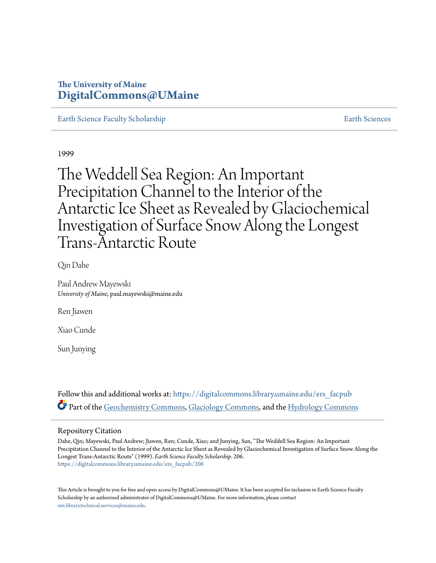# **The University of Maine [DigitalCommons@UMaine](https://digitalcommons.library.umaine.edu?utm_source=digitalcommons.library.umaine.edu%2Fers_facpub%2F206&utm_medium=PDF&utm_campaign=PDFCoverPages)**

[Earth Science Faculty Scholarship](https://digitalcommons.library.umaine.edu/ers_facpub?utm_source=digitalcommons.library.umaine.edu%2Fers_facpub%2F206&utm_medium=PDF&utm_campaign=PDFCoverPages) [Earth Sciences](https://digitalcommons.library.umaine.edu/ers?utm_source=digitalcommons.library.umaine.edu%2Fers_facpub%2F206&utm_medium=PDF&utm_campaign=PDFCoverPages) Earth Sciences

1999

The Weddell Sea Region: An Important Precipitation Channel to the Interior of the Antarctic Ice Sheet as Revealed by Glaciochemical Investigation of Surface Snow Along the Longest Trans-Antarctic Route

Qin Dahe

Paul Andrew Mayewski *University of Maine*, paul.mayewski@maine.edu

Ren Jiawen

Xiao Cunde

Sun Junying

Follow this and additional works at: [https://digitalcommons.library.umaine.edu/ers\\_facpub](https://digitalcommons.library.umaine.edu/ers_facpub?utm_source=digitalcommons.library.umaine.edu%2Fers_facpub%2F206&utm_medium=PDF&utm_campaign=PDFCoverPages) Part of the [Geochemistry Commons](http://network.bepress.com/hgg/discipline/157?utm_source=digitalcommons.library.umaine.edu%2Fers_facpub%2F206&utm_medium=PDF&utm_campaign=PDFCoverPages), [Glaciology Commons,](http://network.bepress.com/hgg/discipline/159?utm_source=digitalcommons.library.umaine.edu%2Fers_facpub%2F206&utm_medium=PDF&utm_campaign=PDFCoverPages) and the [Hydrology Commons](http://network.bepress.com/hgg/discipline/1054?utm_source=digitalcommons.library.umaine.edu%2Fers_facpub%2F206&utm_medium=PDF&utm_campaign=PDFCoverPages)

# Repository Citation

Dahe, Qin; Mayewski, Paul Andrew; Jiawen, Ren; Cunde, Xiao; and Junying, Sun, "The Weddell Sea Region: An Important Precipitation Channel to the Interior of the Antarctic Ice Sheet as Revealed by Glaciochemical Investigation of Surface Snow Along the Longest Trans-Antarctic Route" (1999). *Earth Science Faculty Scholarship*. 206. [https://digitalcommons.library.umaine.edu/ers\\_facpub/206](https://digitalcommons.library.umaine.edu/ers_facpub/206?utm_source=digitalcommons.library.umaine.edu%2Fers_facpub%2F206&utm_medium=PDF&utm_campaign=PDFCoverPages)

This Article is brought to you for free and open access by DigitalCommons@UMaine. It has been accepted for inclusion in Earth Science Faculty Scholarship by an authorized administrator of DigitalCommons@UMaine. For more information, please contact [um.library.technical.services@maine.edu](mailto:um.library.technical.services@maine.edu).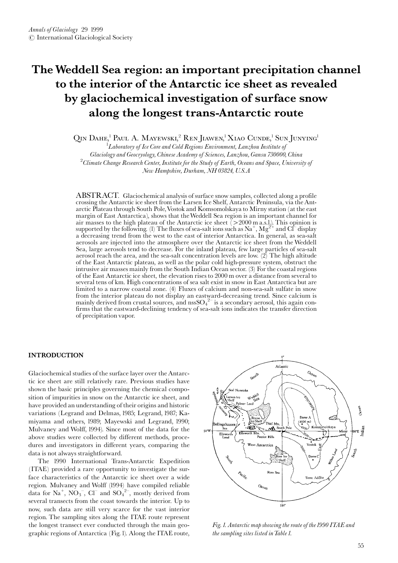# The Weddell Sea region: an important precipitation channel to the interior of the Antarctic ice sheet as revealed by glaciochemical investigation of surface snow along the longest trans-Antarctic route

QIN DAHE,<sup>1</sup> PAUL A. MAYEWSKI,<sup>2</sup> RENJIAWEN,<sup>1</sup> XIAO CUNDE,<sup>1</sup> SUNJUNYING<sup>1</sup>

 ${}^{1}$ Laboratory of Ice Core and Cold Regions Environment, Lanzhou Institute of Glaciology and Geocryology, Chinese Academy of Sciences, Lanzhou, Gansu 730000, China  $^{2}$ Climate Change Research Center, Institute for the Study of Earth, Oceans and Space, University of New Hampshire, Durham, NH 03824, U.S.A

ABSTRACT. Glaciochemical analysis of surface snow samples, collected along a profile crossing the Antarctic ice sheet from the Larsen Ice Shelf, Antarctic Peninsula, via the Antarctic Plateau through South Pole, Vostok and Komsomolskaya to Mirny station (at the east margin of East Antarctica), shows that the Weddell Sea region is an important channel for air masses to the high plateau of the Antarctic ice sheet (>2000 m a.s.l.). This opinion is<br>supported by the following. (1) The fluxes of sea-salt ions such as  $\text{Na}^+$ ,  $\text{Mg}^{2+}$  and Cl<sup>-</sup> display<br>a decreasing trend aerosols are injected into the atmosphere over the Antarctic ice sheet from the Weddell Sea, large aerosols tend to decrease. For the inland plateau, few large particles of sea-salt aerosol reach the area, and the sea-salt concentration levels are low.  $(2)$  The high altitude of the East Antarctic plateau, as well as the polar cold high-pressure system, obstruct the intrusive air masses mainly from the South Indian Ocean sector. (3) For the coastal regions of the East Antarctic ice sheet, the elevation rises to 2000 m over a distance from several to several tens of km. High concentrations of sea salt exist in snow in East Antarctica but are limited to a narrow coastal zone. (4) Fluxes of calcium and non-sea-salt sulfate in snow from the interior plateau do not display an eastward-decreasing trend. Since calcium is<br>mainly derived from crustal sources, and  $nssSO_4^{2-}$  is a secondary aerosol, this again con-<br>firms that the eastward-declining tenden of precipitation vapor.

#### **INTRODUCTION**

Glaciochemical studies of the surface layer over the Antarctic ice sheet are still relatively rare. Previous studies have shown the basic principles governing the chemical composition of impurities in snow on the Antarctic ice sheet, and have provided an understanding of their origins and historic variations (Legrand and Delmas, 1985; Legrand, 1987; Kamiyama and others, 1989; Mayewski and Legrand, 1990; Mulvaney and Wolff, 1994). Since most of the data for the above studies were collected by different methods, procedures and investigators in different years, comparing the data is not always straightforward.

The 1990 International Trans-Antarctic Expedition (ITAE) provided a rare opportunity to investigate the surface characteristics of the Antarctic ice sheet over a wide region. Mulvaney and Wolff (1994) have compiled reliable data for Na<sup>+</sup>, NO<sub>3</sub><sup>-</sup>, Cl<sup>-</sup> and SO<sub>4</sub><sup>2-</sup>, mostly derived from several transects from the coast towards the interior. Up to now, such data are still very scarce for the vast interior region. The sampling sites along the ITAE route represent the longest transect ever conducted through the main geographic regions of Antarctica (Fig. 1). Along the ITAE route,



Fig. 1. Antarctic map showing the route of the 1990 ITAE and the sampling sites listed in Table 1.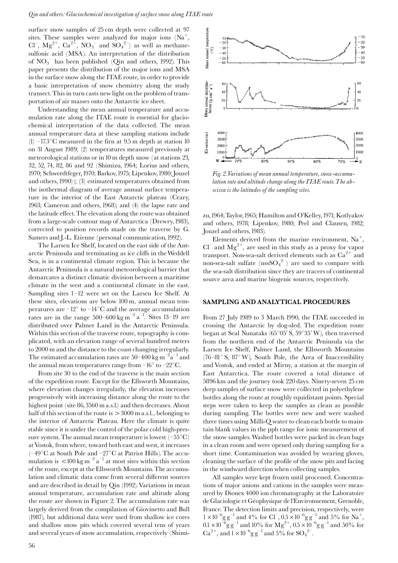surface snow samples of 25 cm depth were collected at 97 sites. These samples were analyzed for major ions  $(Na^{+})$ ,  $Cl^-, Mg^{2+}, Ca^{2+}, NO_3^-$  and  $SO_4^{2-}$  as well as methanesulfonic acid (MSA). An interpretation of the distribution of  $NO<sub>3</sub><sup>-</sup>$  has been published (Qin and others, 1992). This paper presents the distribution of the major ions and MSA in the surface snow along the ITAE route, in order to provide a basic interpretation of snow chemistry along the study transect. This in turn casts new light on the problem of transportation of air masses onto the Antarctic ice sheet.

Understanding the mean annual temperature and accumulation rate along the ITAE route is essential for glaciochemical interpretation of the data collected. The mean annual temperature data at these sampling stations include (1)  $-17.3$ °C measured in the firn at 9.5 m depth at station 10 on 31 August 1989; (2) temperatures measured previously at meteorological stations or in 10 m depth snow (at stations 23, 32, 52, 74, 82, 86 and 92 (Shimizu, 1964; Lorius and others, 1970; Schwerdtfeger, 1970; Barkov, 1975; Lipenkov, 1980; Jouzel and others, 1990)); (3) estimated temperatures obtained from the isothermal diagram of average annual surface temperature in the interior of the East Antarctic plateau (Crary, 1963; Cameron and others, 1968); and (4) the lapse rate and the latitude effect. The elevation along the route was obtained from a large-scale contour map of Antarctica (Drewry, 1983), corrected to position records made on the traverse by G. Samers and J.-L. Etienne (personal communication, 1992).

The Larsen Ice Shelf, located on the east side of the Antarctic Peninsula and terminating as ice cliffs in the Weddell Sea, is in a continental climate region. This is because the Antarctic Peninsula is a natural meteorological barrier that demarcates a distinct climatic division between a maritime climate in the west and a continental climate in the east. Sampling sites  $1-12$  were set on the Larsen Ice Shelf. At these sites, elevations are below 100 m, annual mean temperatures are  $-12^{\circ}$  to  $-14^{\circ}$ C and the average accumulation rates are in the range  $500-600 \text{ kg m}^{-2} \text{ a}^{-1}$ . Sites 13-19 are distributed over Palmer Land in the Antarctic Peninsula. Within this section of the traverse route, topography is complicated, with an elevation range of several hundred meters to 2000 m and the distance to the coast changing irregularly. The estimated accumulation rates are 50–400 kg  $\text{m}^{-2} \text{a}^{-1}$  and the annual mean temperatures range from  $-16^{\circ}$  to  $-22^{\circ}$ C.

From site 30 to the end of the traverse is the main section of the expedition route. Except for the Ellsworth Mountains, where elevation changes irregularly, the elevation increases progressively with increasing distance along the route to the highest point (site 86, 3560 m a.s.l.) and then decreases. About half of this section of the route is  $> 3000$  m a.s.l., belonging to the interior of Antarctic Plateau. Here the climate is quite stable since it is under the control of the polar cold high-pressure system. The annual mean temperature is lowest  $(-55^{\circ}C)$ at Vostok, from where, toward both east and west, it increases (-49°C at South Pole and -27°C at Patriot Hills). The accumulation is  $\langle 100 \text{ kg m}^{-2} \text{ a}^{-1}$  at most sites within this section of the route, except at the Ellsworth Mountains. The accumulation and climatic data come from several different sources and are described in detail by Qin (1992). Variations in mean annual temperature, accumulation rate and altitude along the route are shown in Figure 2. The accumulation rate was largely derived from the compilation of Giovinetto and Bull (1987), but additional data were used from shallow ice cores and shallow snow pits which covered several tens of years and several years of snow accumulation, respectively (Shimi-



Fig. 2. Variations of mean annual temperature, snow-accumulation rate and altitude change along the ITAE route. The abscissa is the latitudes of the sampling sites.

zu, 1964; Taylor, 1965; Hamilton and O'Kelley, 1971; Kotlyakov and others, 1978; Lipenkov, 1980; Peel and Clausen, 1982; Jouzel and others, 1983).

Elements derived from the marine environment,  $Na<sup>+</sup>$ ,  $Cl^{-}$  and  $Mg^{2+}$ , are used in this study as a proxy for vapor transport. Non-sea-salt derived elements such as  $Ca^{2+}$  and non-sea-salt sulfate ( $nssSO<sub>4</sub><sup>2–</sup>$ ) are used to compare with the sea-salt distribution since they are tracers of continental source area and marine biogenic sources, respectively.

### SAMPLING AND ANALYTICAL PROCEDURES

From 27 July 1989 to 3 March 1990, the ITAE succeeded in crossing the Antarctic by dog-sled. The expedition route began at Seal Nunataks (65°05' S, 59°35' W), then traversed from the northern end of the Antarctic Peninsula via the Larsen Ice Shelf, Palmer Land, the Ellsworth Mountains  $(76-81° S, 87° W)$ , South Pole, the Area of Inaccessibility and Vostok, and ended at Mirny, a station at the margin of East Antarctica. The route covered a total distance of 5896 km and the journey took 220 days. Ninety-seven 25 cm deep samples of surface snow were collected in polyethylene bottles along the route at roughly equidistant points. Special steps were taken to keep the samples as clean as possible during sampling. The bottles were new and were washed three times using Milli-Q water to clean each bottle to maintain blank values in the ppb range for ionic measurement of the snow samples. Washed bottles were packed in clean bags in a clean room and were opened only during sampling for a short time. Contamination was avoided by wearing gloves, cleaning the surface of the profile of the snow pits and facing in the windward direction when collecting samples.

All samples were kept frozen until processed. Concentrations of major anions and cations in the samples were measured by Dionex 4000 ion chromatography at the Laboratoire de Glaciologie et Géophysique de l'Environnement, Grenoble, France. The detection limits and precision, respectively, were  $1 \times 10^{-6}$  g g<sup>-1</sup> and 4% for Cl<sup>-</sup>, 0.5  $\times 10^{-6}$  g g<sup>-1</sup> and 5% for Na<sup>+</sup>,  $0.1 \times 10^{-6}$  g g<sup>-1</sup> and 10% for Mg<sup>2+</sup>,  $0.5 \times 10^{-6}$  g g<sup>-1</sup> and 50% for  $Ca^{2+}$ , and  $1 \times 10^{-6}$ g g<sup>-1</sup> and 5% for SO<sub>4</sub><sup>2-</sup>.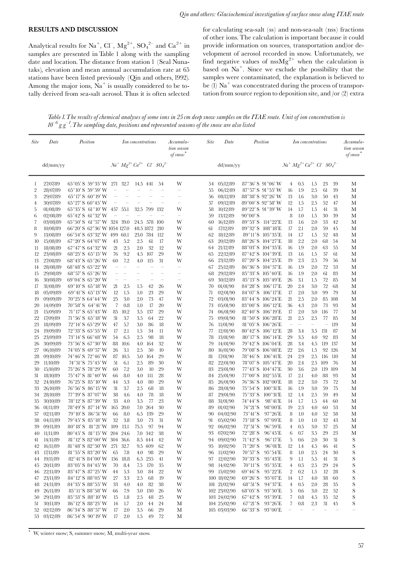#### **RESULTS AND DISCUSSION**

Analytical results for Na<sup>+</sup>, Cl<sup>-</sup>, Mg<sup>2+</sup>, SO<sub>4</sub><sup>2-</sup> and Ca<sup>2+</sup> in samples are presented in Table 1 along with the sampling date and location. The distance from station 1 (Seal Nunataks), elevation and mean annual accumulation rate at 65 stations have been listed previously (Qin and others, 1992). Among the major ions,  $Na<sup>+</sup>$  is usually considered to be totally derived from sea-salt aerosol. Thus it is often selected

for calculating sea-salt (ss) and non-sea-salt (nss) fractions of other ions. The calculation is important because it could provide information on sources, transportation and/or development of aerosol recorded in snow. Unfortunately, we find negative values of  $nssMg^{2+}$  when the calculation is based on Na<sup>+</sup>. Since we exclude the possibility that the samples were contaminated, the explanation is believed to be (1)  $Na<sup>+</sup>$  was concentrated during the process of transportation from source region to deposition site, and /or (2) extra

Table 1. The results of chemical analyses of some ions in 25 cm deep snow samples on the ITAE route. Unit of ion concentration is  $10^{-6}$  g g<sup>-1</sup>. The sampling date, positions and represented seasons of the snow are also listed

| $Na^{+} Mg^{2+} Ca^{2+}$ Cl $SO_4$ <sup>2-</sup><br>$Na^{+} Mg^{2+} Ca^{2+}~Cl^{-} SO_{4}^{~2-}$<br>dd/mm/yy<br>dd/mm/yy<br>$65^{\circ}05'$ S $59^{\circ}35'$ W<br>32.7<br>W<br>$87^{\circ}36'$ S $91^{\circ}06'$ W<br>39<br>27/07/89<br>271<br>14.5 441<br>54<br>05/12/89<br>4<br>0.5<br>1.5<br>23<br>М<br>-1<br>54<br>28/07/89<br>$65^{\circ}10'$ S $59^{\circ}59'$ W<br>$87^{\circ}57'$ S $91^{\circ}55'$ W<br>1.9<br>2.5<br>39<br>2<br>$\qquad \qquad -$<br>06/12/89<br>16<br>61<br>М<br>-<br>÷<br>55<br>65°17'S 60°19'W<br>88°38′ S 92°26′ W<br>3<br>29/07/89<br>08/12/89<br>13<br>1.6<br>3.0<br>50<br>43<br>М<br>56<br>$65^{\circ}27'$ S $60^{\circ}45'$ W<br>89°00′ S 92°58′ W<br>2.5<br>30/07/89<br>57<br>09/12/89<br>12<br>1.5<br>52<br>47<br>М<br>4<br>-<br>$\qquad \qquad -$<br>$\overline{\phantom{0}}$<br>89°22′ S 91°39′ W<br>1.7<br>1.5<br>41<br>31<br>$65^{\circ}35'$ S $61^{\circ}10'$ W<br>32.5<br>799<br>132<br>W<br>10/12/89<br>14<br>М<br>01/08/89<br>457<br>55.1<br>58<br>5<br>65°42' S 61°32' W<br>$90^{\circ}00'$ S<br>8<br>1.0<br>30<br>39<br>М<br>6<br>02/08/89<br>$\overline{\phantom{a}}$<br>59<br>13/12/89<br>1.5<br>65°50′ S 61°57′ W 324 39.0<br>89°53' S 114°22' E<br>2.0<br>7<br>03/08/89<br>24.5 578<br>-100<br>W<br>16/12/89<br>13<br>1.6<br>53<br>42<br>М<br>60<br>66°20′ S 62°36′ W 1054 127.0<br>48.5 1872<br>210<br>W<br>17/12/89<br>89°32' S 108°18' E<br>17<br>2.1<br>2.0<br>59<br>8<br>10/08/89<br>45<br>М<br>61<br>66°54′S 63°32′W 499<br>23.0 784<br>W<br>89°11′S 105°35′E<br>1.7<br>9<br>13/08/89<br>60.1<br>-112<br>62<br>18/12/89<br>14<br>1.5<br>52<br>48<br>М<br>$67^{\circ}20'$ S $64^{\circ}07'$ W<br>5.2<br>2.5<br>88°26′ S 104°27′ E<br>2.2<br>2.0<br>68<br>54<br>15/08/89<br>43<br>61<br>17<br>W<br>63<br>20/12/89<br>18<br>М<br>10<br>67°47' S 64°32' W<br>2.5<br>12<br>88°03' S 104°35' E<br>21<br>2.0<br>32<br>W<br>21/12/89<br>16<br>1.9<br>2.0<br>63<br>М<br>18/08/89<br>55<br>11<br>64<br>68°25′ S 65°15′ W<br>9.2<br>29<br>87°42' S 104°39' E<br>12<br>23/08/89<br>76<br>4.5<br>107<br>W<br>22/12/89<br>13<br>1.6<br>1.5<br>57<br>61<br>М<br>65<br>7.2<br>2.5<br>27/08/89<br>68°43′ S 65°26′ W<br>60<br>31<br>23/12/89<br>87°20′ S 104°25′ E<br>19<br>2.3<br>79<br>56<br>13<br>4.0<br>-115<br>W<br>М<br>66<br>68°48′ S 65°22′ W<br>86°36' S 104°57' E<br>2.0<br>72<br>28/08/89<br>25/12/89<br>16<br>1.9<br>53<br>М<br>14<br>$\overline{\phantom{0}}$<br>$\qquad \qquad -$<br>$\qquad \qquad -$<br>÷<br>$\qquad \qquad -$<br>67<br>68°57′ S 65°26′ W<br>85°33′ S 105°40′ E<br>1.9<br>2.0<br>61<br>83<br>29/08/89<br>68<br>29/12/89<br>16<br>М<br>15<br>÷<br>$\overline{\phantom{0}}$<br>$\overline{\phantom{m}}$<br>÷<br>$\overline{\phantom{0}}$<br>$69^{\circ}04'$ S $65^{\circ}20'$ W<br>85°13′S 105°49′E<br>26<br>3.1<br>72<br>85<br>М<br>30/08/89<br>69<br>30/12/89<br>1.5<br>16<br>$\overline{\phantom{0}}$<br>$\qquad \qquad -$<br>$\overline{\phantom{0}}$<br>$\hspace{1.0cm} - \hspace{1.0cm}$<br>$\overline{\phantom{m}}$<br>69°10′ S 65°18′ W<br>42<br>84°28′ S 106°17′ E<br>2.4<br>3.0<br>72<br>31/08/89<br>21<br>2.5<br>1.5<br>26<br>W<br>70<br>01/01/90<br>20<br>68<br>М<br>17<br>$69^{\circ}41'$ S $65^{\circ}13'$ W<br>1.5<br>1.0<br>23<br>29<br>W<br>84°07'S 106°17'E<br>17<br>2.0<br>3.0<br>99<br>79<br>05/09/89<br>12<br>71<br>02/01/90<br>М<br>18<br>70°25' S 64°44' W<br>25<br>3.0<br>2.0<br>73<br>W<br>83°44'S 106°24'E<br>21<br>2.5<br>2.0<br>09/09/89<br>47<br>72<br>03/01/90<br>85<br>108<br>М<br>19<br>$70^{\circ}58'$ S $64^{\circ}41'$ W<br>0.8<br>17<br>20<br>83°00'S 106°12'E<br>2.0<br>14/09/89<br>7<br>1.0<br>W<br>73<br>05/01/90<br>36<br>4.3<br>73<br>93<br>М<br>20<br>82°40'S 106°19'E<br>$71^{\circ}17'$ S $65^{\circ}43'$ W<br>85<br>10.2<br>3.5<br>137<br>29<br>W<br>06/01/90<br>17<br>2.0<br>3.0<br>116<br>77<br>М<br>21<br>15/09/89<br>74<br>$71^{\circ}56'$ S $65^{\circ}18'$ W<br>3.7<br>22<br>W<br>81°50'S 106°28'E<br>21<br>2.5<br>2.5<br>77<br>85<br>22<br>17/09/89<br>31<br>3.5<br>64<br>75<br>09/01/90<br>М<br>72°14′S 65°29′W<br>5.7<br>3.0<br>86<br>18<br>W<br>81°05'S 106°26'E<br>119<br>23<br>18/09/89<br>47<br>76<br>11/01/90<br>$\overline{\phantom{m}}$<br>$\overline{\phantom{a}}$<br>$\overline{\phantom{0}}$<br>М<br>$\qquad \qquad -$<br>72°33′ S 65°55′ W<br>2.1<br>80°42'S 106°12'E<br>28<br>131<br>19/09/89<br>17<br>1.5<br>34<br>11<br>W<br>12/01/90<br>3.4<br>3.5<br>87<br>М<br>24<br>77<br>73°14′S 66°48′W<br>6.5<br>2.5<br>98<br>18<br>W<br>80°17'S 106°14'E<br>29<br>3.5<br>4.0<br>92<br>83<br>25<br>23/09/89<br>54<br>78<br>13/01/90<br>М<br>$73^{\circ}56'$ S $67^{\circ}30'$ W<br>88<br>10.6<br>32<br>W<br>79°42'S 106°04'E<br>28<br>3.4<br>119<br>137<br>26<br>30/09/89<br>4.0<br>164<br>79<br>14/01/90<br>4.5<br>М<br>74°05′ S 69°57′ W<br>3.1<br>2.5<br>50<br>10<br>W<br>79°08′ S 106°08′ E<br>22<br>2.6<br>126<br>27<br>06/10/89<br>26<br>80<br>16/01/90<br>1.5<br>92<br>М<br>$78^{\circ}46'$ S<br>74°46′ S 72°46′ W<br>10.5<br>29<br>W<br>24<br>2.9<br>2.5<br>28<br>09/10/89<br>87<br>5.0<br>164<br>81<br>17/01/90<br>$106^{\circ}41^{\prime}\mathrm{E}$<br>-116<br>110<br>М<br>74°51′S 75°45′W<br>6.1<br>2.5<br>89<br>30<br>W<br>22/01/90<br>78°07' S 105°47' E<br>20<br>2.4<br>2.5<br>11/10/89<br>51<br>82<br>109<br>-76<br>М<br>29<br>77°43' S 104°47' E<br>75°26′ S 78°29′ W<br>7.2<br>3.0<br>10<br>29<br>W<br>30<br>3.6<br>2.0<br>119<br>109<br>30<br>15/10/89<br>60<br>83<br>23/01/90<br>М<br>75°47′ S 81°40′ W<br>8.0<br>-111<br>28<br>W<br>77°00′ S 102°55′ E<br>2.1<br>4.0<br>88<br>93<br>М<br>31<br>18/10/89<br>66<br>4.0<br>84<br>25/01/90<br>17<br>76°25′ S 85°10′ W<br>5.3<br>80<br>29<br>W<br>76°36′ S 102°00′ E<br>18<br>2.2<br>3.0<br>72<br>32<br>24/10/89<br>4.0<br>85<br>26/01/90<br>73<br>М<br>44<br>76°56′ S 86°15′ W<br>31<br>3.7<br>18<br>W<br>$75^{\circ}54'$ S<br>16<br>1.9<br>3.0<br>59<br>75<br>33<br>26/10/89<br>2.5<br>68<br>86<br>28/01/90<br>$100^{\circ}31$ E<br>М<br>77°39′ S 87°07′ W<br>38<br>18<br>$75^{\circ}33'$ S<br>$100^{\circ}31$ E<br>12<br>2.5<br>59<br>49<br>28/10/89<br>4.6<br>4.0<br>78<br>W<br>87<br>29/01/90<br>1.4<br>М<br>34<br>78°12' S 87°39' W<br>3.5<br>77<br>23<br>W<br>74°44′ S<br>$98^{\circ}41^{\prime}E$<br>1.5<br>60<br>30/10/89<br>33<br>4.0<br>88<br>31/01/90<br>14<br>1.7<br>44<br>М<br>35<br>78°49′ S 87°14′ W<br>20.0<br>7.0 264<br>30<br>W<br>$74^{\circ}21^{\prime}S$<br>$98^{\circ}00'E$<br>2.3<br>01/11/89<br>165<br>89<br>01/02/90<br>19<br>4.0<br>60<br>53<br>М<br>36<br>$79^{\circ}10'$ S $86^{\circ}51'$ W<br>8.0<br>139<br>29<br>W<br>$73^{\circ}41^{\prime}S$<br>$97^{\circ}26'E$<br>4.0<br>52<br>58<br>37<br>02/11/89<br>66<br>6.5<br>90<br>04/02/90<br>8<br>1.0<br>М<br>79°45′S 85°18′W<br>32<br>3.8<br>3.0<br>73<br>31<br>W<br>$73^{\circ}18'$ S<br>$97^{\circ}09'E$<br>32<br>43<br>38<br>04/11/89<br>91<br>05/02/90<br>8<br>1.0<br>1.0<br>М<br>80°18′S 81°21′W 109<br>13.1<br>75.5<br>97<br>94<br>W<br>$72^{\circ}51^{\prime}S$<br>$96^{\circ}59'E$<br>0.5<br>3.0<br>37<br>25<br>39<br>09/11/89<br>92 06/02/90<br>4<br>М<br>$72^{\circ}28'\,\mathrm{S}$<br>29<br>40<br>11/11/89<br>80°45′ S 81°15′ W 204 24.6<br>7.0 342<br>38<br>W<br>93 07/02/90<br>$96^{\circ}45'E$<br>6<br>0.7<br>$3.5\,$<br>23<br>M<br>81°12′S 82°00′W 304 36.6<br>94 09/02/90<br>2.0<br>30<br>S<br>14/11/89<br>8.5 444<br>42<br>W<br>$71^{\circ}42'$ S<br>$96^{\circ}17'E$<br>5<br>0.6<br>31<br>41<br>16/11/89<br>81°48' S 82°50' W 271 32.7<br>9.5 409<br>62<br>10/02/90<br>$71^{\circ}20'$ S<br>$96^{\circ}01'E$<br>12<br>$1.4\,$<br>4.5<br>46<br>41<br>S<br>W<br>95<br>42<br>-98<br>S<br>17/11/89<br>29<br>W<br>11/02/90<br>$70^{\circ}57'$ S<br>$95^{\circ}54'E$<br>8<br>1.0<br>2.5<br>24<br>30<br>$81^{\circ}55'$ S $83^{\circ}20'$ W<br>65<br>7.8<br>4.0<br>96<br>43<br>97 12/02/90<br>$70^{\circ}33'$ S<br>1.1<br>5.5<br>31<br>S<br>19/11/89<br>$82^{\circ}41'$ S $84^{\circ}00'$ W $\;$ 156<br>6.5 235<br>$95^{\circ}43'E$<br>9<br>41<br>18.8<br>41<br>W<br>44<br>S<br>20/11/89<br>83°05′ S 84°45′ W<br>7.5 170<br>35<br>14/02/90<br>$70^{\circ}11'S$<br>$95^{\circ}35'E$<br>0.5<br>2.5<br>29<br>24<br>70<br>8.4<br>W<br>98<br>4<br>45<br>99 15/02/90<br>$69^{\circ}46'$ S<br>$95^{\circ}22'E$<br>0.2<br>28<br>S<br>83°47′ S 87°25′ W<br>22<br>2<br>1.5<br>12<br>22/11/89<br>44<br>5.3<br>3.0<br>-84<br>W<br>46<br>84°12′S 88°05′W<br>$2.5\,$<br>68<br>19<br>W<br>100 18/02/90<br>$69^{\circ}26'$ S<br>$95^{\circ}07'E$<br>14<br>1.7<br>4.0<br>38<br>60<br>S<br>23/11/89<br>27<br>3.3<br>47<br>84°35′ S 88°55′ W<br>82<br>38<br>W<br>$101 \t21/02/90$<br>$68^{\circ}51^{\prime}$ S<br>$94^{\circ}37'E$<br>0.5<br>2.0<br>35<br>S<br>24/11/89<br>33<br>4.0<br>4.0<br>28<br>48<br>4<br>S<br>3.0 130<br>26<br>W<br>$68^{\circ}05^{\prime}$ S<br>22<br>52<br>26/11/89<br>$85^{\circ}11'$ S $88^{\circ}58'$ W<br>7.9<br>102 23/02/90<br>$93^{\circ}50'E$<br>5<br>0.6<br>3.0<br>49<br>66<br>103 24/02/90<br>$67^{\circ}42'$ S<br>$93^{\circ}39'E$<br>7<br>35<br>52<br>S<br>29/11/89<br>85°53′ S 88°10′ W<br>2.5<br>48<br>25<br>0.8<br>4.5<br>15<br>$1.8\,$<br>W<br>50<br>86°12′S 88°25′W<br>$67^{\circ}21^{\prime}S$<br>$93^{\circ}26'E$<br>2.3<br>31<br>S<br>30/11/89<br>1.7<br>2.0<br>44<br>24<br>М<br>104 25/02/90<br>7<br>$0.8\,$<br>45<br>14<br>51<br>105 03/03/90<br>66°33′ S 93°00′ E<br>02/12/89<br>86°34′ S 88°57′ W<br>2.0<br>$3.5\,$<br>66<br>29<br>М<br>52<br>17<br>03/12/89<br>86°54′ S 90°19′ W<br>2.0<br>49<br>72<br>17<br>$1.5\,$<br>М<br>53 | <b>Site</b> | Date | Position | Ion concentrations |  |  |  | Accumula-<br>tion season<br>of snow | Site | Date | Position | Ion concentrations |  |  |  | Accumula-<br>tion season<br>of snow |
|----------------------------------------------------------------------------------------------------------------------------------------------------------------------------------------------------------------------------------------------------------------------------------------------------------------------------------------------------------------------------------------------------------------------------------------------------------------------------------------------------------------------------------------------------------------------------------------------------------------------------------------------------------------------------------------------------------------------------------------------------------------------------------------------------------------------------------------------------------------------------------------------------------------------------------------------------------------------------------------------------------------------------------------------------------------------------------------------------------------------------------------------------------------------------------------------------------------------------------------------------------------------------------------------------------------------------------------------------------------------------------------------------------------------------------------------------------------------------------------------------------------------------------------------------------------------------------------------------------------------------------------------------------------------------------------------------------------------------------------------------------------------------------------------------------------------------------------------------------------------------------------------------------------------------------------------------------------------------------------------------------------------------------------------------------------------------------------------------------------------------------------------------------------------------------------------------------------------------------------------------------------------------------------------------------------------------------------------------------------------------------------------------------------------------------------------------------------------------------------------------------------------------------------------------------------------------------------------------------------------------------------------------------------------------------------------------------------------------------------------------------------------------------------------------------------------------------------------------------------------------------------------------------------------------------------------------------------------------------------------------------------------------------------------------------------------------------------------------------------------------------------------------------------------------------------------------------------------------------------------------------------------------------------------------------------------------------------------------------------------------------------------------------------------------------------------------------------------------------------------------------------------------------------------------------------------------------------------------------------------------------------------------------------------------------------------------------------------------------------------------------------------------------------------------------------------------------------------------------------------------------------------------------------------------------------------------------------------------------------------------------------------------------------------------------------------------------------------------------------------------------------------------------------------------------------------------------------------------------------------------------------------------------------------------------------------------------------------------------------------------------------------------------------------------------------------------------------------------------------------------------------------------------------------------------------------------------------------------------------------------------------------------------------------------------------------------------------------------------------------------------------------------------------------------------------------------------------------------------------------------------------------------------------------------------------------------------------------------------------------------------------------------------------------------------------------------------------------------------------------------------------------------------------------------------------------------------------------------------------------------------------------------------------------------------------------------------------------------------------------------------------------------------------------------------------------------------------------------------------------------------------------------------------------------------------------------------------------------------------------------------------------------------------------------------------------------------------------------------------------------------------------------------------------------------------------------------------------------------------------------------------------------------------------------------------------------------------------------------------------------------------------------------------------------------------------------------------------------------------------------------------------------------------------------------------------------------------------------------------------------------------------------------------------------------------------------------------------------------------------------------------------------------------------------------------------------------------------------------------------------------------------------------------------------------------------------------------------------------------------------------------------------------------------------------------------------------------------------------------------------------------------------------------------------------------------------------------------------------------------------------------------------------------------------------------------------------------------------------------------------------------------------------------------------------------------------------------------------------------------------------------------------------------------------------------------------------------------------------------------------------------------------------------------------------------------------------------------------------------------------------------------------------------------------------------------------------------------------------------------------------------------------------------------------------------------------------------------------------------------------------------------------------------------------------------------------------------------------------------------------------------------------------------------------------------------------------------------------------------------------------------------------------------------------------------------------------------------------------------------------------------------------------------------------------------------------------------------------------------------------------------------------------------------------------------------------------------------------------------------------------------------------------------------------------------------------------------------------------------------------------------------------------------------------------------------------------------------------------------------------------------------------------------------------------------------------------------------------------------------------------------------------------------------------------------------------------------------------------------------------------------------------------------------------------------------------------------------------------------------------------------------------------------------------------------------------------------------------------------------------------------------------------------------------------------------------------------------------------------------------------------------------------------------------------------------------------------------------------------------------------------------------------------------------------------------------------------------------------------------------------------------------------------------------------------------------------|-------------|------|----------|--------------------|--|--|--|-------------------------------------|------|------|----------|--------------------|--|--|--|-------------------------------------|
|                                                                                                                                                                                                                                                                                                                                                                                                                                                                                                                                                                                                                                                                                                                                                                                                                                                                                                                                                                                                                                                                                                                                                                                                                                                                                                                                                                                                                                                                                                                                                                                                                                                                                                                                                                                                                                                                                                                                                                                                                                                                                                                                                                                                                                                                                                                                                                                                                                                                                                                                                                                                                                                                                                                                                                                                                                                                                                                                                                                                                                                                                                                                                                                                                                                                                                                                                                                                                                                                                                                                                                                                                                                                                                                                                                                                                                                                                                                                                                                                                                                                                                                                                                                                                                                                                                                                                                                                                                                                                                                                                                                                                                                                                                                                                                                                                                                                                                                                                                                                                                                                                                                                                                                                                                                                                                                                                                                                                                                                                                                                                                                                                                                                                                                                                                                                                                                                                                                                                                                                                                                                                                                                                                                                                                                                                                                                                                                                                                                                                                                                                                                                                                                                                                                                                                                                                                                                                                                                                                                                                                                                                                                                                                                                                                                                                                                                                                                                                                                                                                                                                                                                                                                                                                                                                                                                                                                                                                                                                                                                                                                                                                                                                                                                                                                                                                                                                                                                                                                                                                                                                                                                                                                                                                                                                                                                                                                                                                                                                                                                                                                                                                                                                                                                                                                                                                                                                                                                                                                          |             |      |          |                    |  |  |  |                                     |      |      |          |                    |  |  |  |                                     |
|                                                                                                                                                                                                                                                                                                                                                                                                                                                                                                                                                                                                                                                                                                                                                                                                                                                                                                                                                                                                                                                                                                                                                                                                                                                                                                                                                                                                                                                                                                                                                                                                                                                                                                                                                                                                                                                                                                                                                                                                                                                                                                                                                                                                                                                                                                                                                                                                                                                                                                                                                                                                                                                                                                                                                                                                                                                                                                                                                                                                                                                                                                                                                                                                                                                                                                                                                                                                                                                                                                                                                                                                                                                                                                                                                                                                                                                                                                                                                                                                                                                                                                                                                                                                                                                                                                                                                                                                                                                                                                                                                                                                                                                                                                                                                                                                                                                                                                                                                                                                                                                                                                                                                                                                                                                                                                                                                                                                                                                                                                                                                                                                                                                                                                                                                                                                                                                                                                                                                                                                                                                                                                                                                                                                                                                                                                                                                                                                                                                                                                                                                                                                                                                                                                                                                                                                                                                                                                                                                                                                                                                                                                                                                                                                                                                                                                                                                                                                                                                                                                                                                                                                                                                                                                                                                                                                                                                                                                                                                                                                                                                                                                                                                                                                                                                                                                                                                                                                                                                                                                                                                                                                                                                                                                                                                                                                                                                                                                                                                                                                                                                                                                                                                                                                                                                                                                                                                                                                                                                          |             |      |          |                    |  |  |  |                                     |      |      |          |                    |  |  |  |                                     |
|                                                                                                                                                                                                                                                                                                                                                                                                                                                                                                                                                                                                                                                                                                                                                                                                                                                                                                                                                                                                                                                                                                                                                                                                                                                                                                                                                                                                                                                                                                                                                                                                                                                                                                                                                                                                                                                                                                                                                                                                                                                                                                                                                                                                                                                                                                                                                                                                                                                                                                                                                                                                                                                                                                                                                                                                                                                                                                                                                                                                                                                                                                                                                                                                                                                                                                                                                                                                                                                                                                                                                                                                                                                                                                                                                                                                                                                                                                                                                                                                                                                                                                                                                                                                                                                                                                                                                                                                                                                                                                                                                                                                                                                                                                                                                                                                                                                                                                                                                                                                                                                                                                                                                                                                                                                                                                                                                                                                                                                                                                                                                                                                                                                                                                                                                                                                                                                                                                                                                                                                                                                                                                                                                                                                                                                                                                                                                                                                                                                                                                                                                                                                                                                                                                                                                                                                                                                                                                                                                                                                                                                                                                                                                                                                                                                                                                                                                                                                                                                                                                                                                                                                                                                                                                                                                                                                                                                                                                                                                                                                                                                                                                                                                                                                                                                                                                                                                                                                                                                                                                                                                                                                                                                                                                                                                                                                                                                                                                                                                                                                                                                                                                                                                                                                                                                                                                                                                                                                                                                          |             |      |          |                    |  |  |  |                                     |      |      |          |                    |  |  |  |                                     |
|                                                                                                                                                                                                                                                                                                                                                                                                                                                                                                                                                                                                                                                                                                                                                                                                                                                                                                                                                                                                                                                                                                                                                                                                                                                                                                                                                                                                                                                                                                                                                                                                                                                                                                                                                                                                                                                                                                                                                                                                                                                                                                                                                                                                                                                                                                                                                                                                                                                                                                                                                                                                                                                                                                                                                                                                                                                                                                                                                                                                                                                                                                                                                                                                                                                                                                                                                                                                                                                                                                                                                                                                                                                                                                                                                                                                                                                                                                                                                                                                                                                                                                                                                                                                                                                                                                                                                                                                                                                                                                                                                                                                                                                                                                                                                                                                                                                                                                                                                                                                                                                                                                                                                                                                                                                                                                                                                                                                                                                                                                                                                                                                                                                                                                                                                                                                                                                                                                                                                                                                                                                                                                                                                                                                                                                                                                                                                                                                                                                                                                                                                                                                                                                                                                                                                                                                                                                                                                                                                                                                                                                                                                                                                                                                                                                                                                                                                                                                                                                                                                                                                                                                                                                                                                                                                                                                                                                                                                                                                                                                                                                                                                                                                                                                                                                                                                                                                                                                                                                                                                                                                                                                                                                                                                                                                                                                                                                                                                                                                                                                                                                                                                                                                                                                                                                                                                                                                                                                                                                          |             |      |          |                    |  |  |  |                                     |      |      |          |                    |  |  |  |                                     |
|                                                                                                                                                                                                                                                                                                                                                                                                                                                                                                                                                                                                                                                                                                                                                                                                                                                                                                                                                                                                                                                                                                                                                                                                                                                                                                                                                                                                                                                                                                                                                                                                                                                                                                                                                                                                                                                                                                                                                                                                                                                                                                                                                                                                                                                                                                                                                                                                                                                                                                                                                                                                                                                                                                                                                                                                                                                                                                                                                                                                                                                                                                                                                                                                                                                                                                                                                                                                                                                                                                                                                                                                                                                                                                                                                                                                                                                                                                                                                                                                                                                                                                                                                                                                                                                                                                                                                                                                                                                                                                                                                                                                                                                                                                                                                                                                                                                                                                                                                                                                                                                                                                                                                                                                                                                                                                                                                                                                                                                                                                                                                                                                                                                                                                                                                                                                                                                                                                                                                                                                                                                                                                                                                                                                                                                                                                                                                                                                                                                                                                                                                                                                                                                                                                                                                                                                                                                                                                                                                                                                                                                                                                                                                                                                                                                                                                                                                                                                                                                                                                                                                                                                                                                                                                                                                                                                                                                                                                                                                                                                                                                                                                                                                                                                                                                                                                                                                                                                                                                                                                                                                                                                                                                                                                                                                                                                                                                                                                                                                                                                                                                                                                                                                                                                                                                                                                                                                                                                                                                          |             |      |          |                    |  |  |  |                                     |      |      |          |                    |  |  |  |                                     |
|                                                                                                                                                                                                                                                                                                                                                                                                                                                                                                                                                                                                                                                                                                                                                                                                                                                                                                                                                                                                                                                                                                                                                                                                                                                                                                                                                                                                                                                                                                                                                                                                                                                                                                                                                                                                                                                                                                                                                                                                                                                                                                                                                                                                                                                                                                                                                                                                                                                                                                                                                                                                                                                                                                                                                                                                                                                                                                                                                                                                                                                                                                                                                                                                                                                                                                                                                                                                                                                                                                                                                                                                                                                                                                                                                                                                                                                                                                                                                                                                                                                                                                                                                                                                                                                                                                                                                                                                                                                                                                                                                                                                                                                                                                                                                                                                                                                                                                                                                                                                                                                                                                                                                                                                                                                                                                                                                                                                                                                                                                                                                                                                                                                                                                                                                                                                                                                                                                                                                                                                                                                                                                                                                                                                                                                                                                                                                                                                                                                                                                                                                                                                                                                                                                                                                                                                                                                                                                                                                                                                                                                                                                                                                                                                                                                                                                                                                                                                                                                                                                                                                                                                                                                                                                                                                                                                                                                                                                                                                                                                                                                                                                                                                                                                                                                                                                                                                                                                                                                                                                                                                                                                                                                                                                                                                                                                                                                                                                                                                                                                                                                                                                                                                                                                                                                                                                                                                                                                                                                          |             |      |          |                    |  |  |  |                                     |      |      |          |                    |  |  |  |                                     |
|                                                                                                                                                                                                                                                                                                                                                                                                                                                                                                                                                                                                                                                                                                                                                                                                                                                                                                                                                                                                                                                                                                                                                                                                                                                                                                                                                                                                                                                                                                                                                                                                                                                                                                                                                                                                                                                                                                                                                                                                                                                                                                                                                                                                                                                                                                                                                                                                                                                                                                                                                                                                                                                                                                                                                                                                                                                                                                                                                                                                                                                                                                                                                                                                                                                                                                                                                                                                                                                                                                                                                                                                                                                                                                                                                                                                                                                                                                                                                                                                                                                                                                                                                                                                                                                                                                                                                                                                                                                                                                                                                                                                                                                                                                                                                                                                                                                                                                                                                                                                                                                                                                                                                                                                                                                                                                                                                                                                                                                                                                                                                                                                                                                                                                                                                                                                                                                                                                                                                                                                                                                                                                                                                                                                                                                                                                                                                                                                                                                                                                                                                                                                                                                                                                                                                                                                                                                                                                                                                                                                                                                                                                                                                                                                                                                                                                                                                                                                                                                                                                                                                                                                                                                                                                                                                                                                                                                                                                                                                                                                                                                                                                                                                                                                                                                                                                                                                                                                                                                                                                                                                                                                                                                                                                                                                                                                                                                                                                                                                                                                                                                                                                                                                                                                                                                                                                                                                                                                                                                          |             |      |          |                    |  |  |  |                                     |      |      |          |                    |  |  |  |                                     |
|                                                                                                                                                                                                                                                                                                                                                                                                                                                                                                                                                                                                                                                                                                                                                                                                                                                                                                                                                                                                                                                                                                                                                                                                                                                                                                                                                                                                                                                                                                                                                                                                                                                                                                                                                                                                                                                                                                                                                                                                                                                                                                                                                                                                                                                                                                                                                                                                                                                                                                                                                                                                                                                                                                                                                                                                                                                                                                                                                                                                                                                                                                                                                                                                                                                                                                                                                                                                                                                                                                                                                                                                                                                                                                                                                                                                                                                                                                                                                                                                                                                                                                                                                                                                                                                                                                                                                                                                                                                                                                                                                                                                                                                                                                                                                                                                                                                                                                                                                                                                                                                                                                                                                                                                                                                                                                                                                                                                                                                                                                                                                                                                                                                                                                                                                                                                                                                                                                                                                                                                                                                                                                                                                                                                                                                                                                                                                                                                                                                                                                                                                                                                                                                                                                                                                                                                                                                                                                                                                                                                                                                                                                                                                                                                                                                                                                                                                                                                                                                                                                                                                                                                                                                                                                                                                                                                                                                                                                                                                                                                                                                                                                                                                                                                                                                                                                                                                                                                                                                                                                                                                                                                                                                                                                                                                                                                                                                                                                                                                                                                                                                                                                                                                                                                                                                                                                                                                                                                                                                          |             |      |          |                    |  |  |  |                                     |      |      |          |                    |  |  |  |                                     |
|                                                                                                                                                                                                                                                                                                                                                                                                                                                                                                                                                                                                                                                                                                                                                                                                                                                                                                                                                                                                                                                                                                                                                                                                                                                                                                                                                                                                                                                                                                                                                                                                                                                                                                                                                                                                                                                                                                                                                                                                                                                                                                                                                                                                                                                                                                                                                                                                                                                                                                                                                                                                                                                                                                                                                                                                                                                                                                                                                                                                                                                                                                                                                                                                                                                                                                                                                                                                                                                                                                                                                                                                                                                                                                                                                                                                                                                                                                                                                                                                                                                                                                                                                                                                                                                                                                                                                                                                                                                                                                                                                                                                                                                                                                                                                                                                                                                                                                                                                                                                                                                                                                                                                                                                                                                                                                                                                                                                                                                                                                                                                                                                                                                                                                                                                                                                                                                                                                                                                                                                                                                                                                                                                                                                                                                                                                                                                                                                                                                                                                                                                                                                                                                                                                                                                                                                                                                                                                                                                                                                                                                                                                                                                                                                                                                                                                                                                                                                                                                                                                                                                                                                                                                                                                                                                                                                                                                                                                                                                                                                                                                                                                                                                                                                                                                                                                                                                                                                                                                                                                                                                                                                                                                                                                                                                                                                                                                                                                                                                                                                                                                                                                                                                                                                                                                                                                                                                                                                                                                          |             |      |          |                    |  |  |  |                                     |      |      |          |                    |  |  |  |                                     |
|                                                                                                                                                                                                                                                                                                                                                                                                                                                                                                                                                                                                                                                                                                                                                                                                                                                                                                                                                                                                                                                                                                                                                                                                                                                                                                                                                                                                                                                                                                                                                                                                                                                                                                                                                                                                                                                                                                                                                                                                                                                                                                                                                                                                                                                                                                                                                                                                                                                                                                                                                                                                                                                                                                                                                                                                                                                                                                                                                                                                                                                                                                                                                                                                                                                                                                                                                                                                                                                                                                                                                                                                                                                                                                                                                                                                                                                                                                                                                                                                                                                                                                                                                                                                                                                                                                                                                                                                                                                                                                                                                                                                                                                                                                                                                                                                                                                                                                                                                                                                                                                                                                                                                                                                                                                                                                                                                                                                                                                                                                                                                                                                                                                                                                                                                                                                                                                                                                                                                                                                                                                                                                                                                                                                                                                                                                                                                                                                                                                                                                                                                                                                                                                                                                                                                                                                                                                                                                                                                                                                                                                                                                                                                                                                                                                                                                                                                                                                                                                                                                                                                                                                                                                                                                                                                                                                                                                                                                                                                                                                                                                                                                                                                                                                                                                                                                                                                                                                                                                                                                                                                                                                                                                                                                                                                                                                                                                                                                                                                                                                                                                                                                                                                                                                                                                                                                                                                                                                                                                          |             |      |          |                    |  |  |  |                                     |      |      |          |                    |  |  |  |                                     |
|                                                                                                                                                                                                                                                                                                                                                                                                                                                                                                                                                                                                                                                                                                                                                                                                                                                                                                                                                                                                                                                                                                                                                                                                                                                                                                                                                                                                                                                                                                                                                                                                                                                                                                                                                                                                                                                                                                                                                                                                                                                                                                                                                                                                                                                                                                                                                                                                                                                                                                                                                                                                                                                                                                                                                                                                                                                                                                                                                                                                                                                                                                                                                                                                                                                                                                                                                                                                                                                                                                                                                                                                                                                                                                                                                                                                                                                                                                                                                                                                                                                                                                                                                                                                                                                                                                                                                                                                                                                                                                                                                                                                                                                                                                                                                                                                                                                                                                                                                                                                                                                                                                                                                                                                                                                                                                                                                                                                                                                                                                                                                                                                                                                                                                                                                                                                                                                                                                                                                                                                                                                                                                                                                                                                                                                                                                                                                                                                                                                                                                                                                                                                                                                                                                                                                                                                                                                                                                                                                                                                                                                                                                                                                                                                                                                                                                                                                                                                                                                                                                                                                                                                                                                                                                                                                                                                                                                                                                                                                                                                                                                                                                                                                                                                                                                                                                                                                                                                                                                                                                                                                                                                                                                                                                                                                                                                                                                                                                                                                                                                                                                                                                                                                                                                                                                                                                                                                                                                                                                          |             |      |          |                    |  |  |  |                                     |      |      |          |                    |  |  |  |                                     |
|                                                                                                                                                                                                                                                                                                                                                                                                                                                                                                                                                                                                                                                                                                                                                                                                                                                                                                                                                                                                                                                                                                                                                                                                                                                                                                                                                                                                                                                                                                                                                                                                                                                                                                                                                                                                                                                                                                                                                                                                                                                                                                                                                                                                                                                                                                                                                                                                                                                                                                                                                                                                                                                                                                                                                                                                                                                                                                                                                                                                                                                                                                                                                                                                                                                                                                                                                                                                                                                                                                                                                                                                                                                                                                                                                                                                                                                                                                                                                                                                                                                                                                                                                                                                                                                                                                                                                                                                                                                                                                                                                                                                                                                                                                                                                                                                                                                                                                                                                                                                                                                                                                                                                                                                                                                                                                                                                                                                                                                                                                                                                                                                                                                                                                                                                                                                                                                                                                                                                                                                                                                                                                                                                                                                                                                                                                                                                                                                                                                                                                                                                                                                                                                                                                                                                                                                                                                                                                                                                                                                                                                                                                                                                                                                                                                                                                                                                                                                                                                                                                                                                                                                                                                                                                                                                                                                                                                                                                                                                                                                                                                                                                                                                                                                                                                                                                                                                                                                                                                                                                                                                                                                                                                                                                                                                                                                                                                                                                                                                                                                                                                                                                                                                                                                                                                                                                                                                                                                                                                          |             |      |          |                    |  |  |  |                                     |      |      |          |                    |  |  |  |                                     |
|                                                                                                                                                                                                                                                                                                                                                                                                                                                                                                                                                                                                                                                                                                                                                                                                                                                                                                                                                                                                                                                                                                                                                                                                                                                                                                                                                                                                                                                                                                                                                                                                                                                                                                                                                                                                                                                                                                                                                                                                                                                                                                                                                                                                                                                                                                                                                                                                                                                                                                                                                                                                                                                                                                                                                                                                                                                                                                                                                                                                                                                                                                                                                                                                                                                                                                                                                                                                                                                                                                                                                                                                                                                                                                                                                                                                                                                                                                                                                                                                                                                                                                                                                                                                                                                                                                                                                                                                                                                                                                                                                                                                                                                                                                                                                                                                                                                                                                                                                                                                                                                                                                                                                                                                                                                                                                                                                                                                                                                                                                                                                                                                                                                                                                                                                                                                                                                                                                                                                                                                                                                                                                                                                                                                                                                                                                                                                                                                                                                                                                                                                                                                                                                                                                                                                                                                                                                                                                                                                                                                                                                                                                                                                                                                                                                                                                                                                                                                                                                                                                                                                                                                                                                                                                                                                                                                                                                                                                                                                                                                                                                                                                                                                                                                                                                                                                                                                                                                                                                                                                                                                                                                                                                                                                                                                                                                                                                                                                                                                                                                                                                                                                                                                                                                                                                                                                                                                                                                                                                          |             |      |          |                    |  |  |  |                                     |      |      |          |                    |  |  |  |                                     |
|                                                                                                                                                                                                                                                                                                                                                                                                                                                                                                                                                                                                                                                                                                                                                                                                                                                                                                                                                                                                                                                                                                                                                                                                                                                                                                                                                                                                                                                                                                                                                                                                                                                                                                                                                                                                                                                                                                                                                                                                                                                                                                                                                                                                                                                                                                                                                                                                                                                                                                                                                                                                                                                                                                                                                                                                                                                                                                                                                                                                                                                                                                                                                                                                                                                                                                                                                                                                                                                                                                                                                                                                                                                                                                                                                                                                                                                                                                                                                                                                                                                                                                                                                                                                                                                                                                                                                                                                                                                                                                                                                                                                                                                                                                                                                                                                                                                                                                                                                                                                                                                                                                                                                                                                                                                                                                                                                                                                                                                                                                                                                                                                                                                                                                                                                                                                                                                                                                                                                                                                                                                                                                                                                                                                                                                                                                                                                                                                                                                                                                                                                                                                                                                                                                                                                                                                                                                                                                                                                                                                                                                                                                                                                                                                                                                                                                                                                                                                                                                                                                                                                                                                                                                                                                                                                                                                                                                                                                                                                                                                                                                                                                                                                                                                                                                                                                                                                                                                                                                                                                                                                                                                                                                                                                                                                                                                                                                                                                                                                                                                                                                                                                                                                                                                                                                                                                                                                                                                                                                          |             |      |          |                    |  |  |  |                                     |      |      |          |                    |  |  |  |                                     |
|                                                                                                                                                                                                                                                                                                                                                                                                                                                                                                                                                                                                                                                                                                                                                                                                                                                                                                                                                                                                                                                                                                                                                                                                                                                                                                                                                                                                                                                                                                                                                                                                                                                                                                                                                                                                                                                                                                                                                                                                                                                                                                                                                                                                                                                                                                                                                                                                                                                                                                                                                                                                                                                                                                                                                                                                                                                                                                                                                                                                                                                                                                                                                                                                                                                                                                                                                                                                                                                                                                                                                                                                                                                                                                                                                                                                                                                                                                                                                                                                                                                                                                                                                                                                                                                                                                                                                                                                                                                                                                                                                                                                                                                                                                                                                                                                                                                                                                                                                                                                                                                                                                                                                                                                                                                                                                                                                                                                                                                                                                                                                                                                                                                                                                                                                                                                                                                                                                                                                                                                                                                                                                                                                                                                                                                                                                                                                                                                                                                                                                                                                                                                                                                                                                                                                                                                                                                                                                                                                                                                                                                                                                                                                                                                                                                                                                                                                                                                                                                                                                                                                                                                                                                                                                                                                                                                                                                                                                                                                                                                                                                                                                                                                                                                                                                                                                                                                                                                                                                                                                                                                                                                                                                                                                                                                                                                                                                                                                                                                                                                                                                                                                                                                                                                                                                                                                                                                                                                                                                          |             |      |          |                    |  |  |  |                                     |      |      |          |                    |  |  |  |                                     |
|                                                                                                                                                                                                                                                                                                                                                                                                                                                                                                                                                                                                                                                                                                                                                                                                                                                                                                                                                                                                                                                                                                                                                                                                                                                                                                                                                                                                                                                                                                                                                                                                                                                                                                                                                                                                                                                                                                                                                                                                                                                                                                                                                                                                                                                                                                                                                                                                                                                                                                                                                                                                                                                                                                                                                                                                                                                                                                                                                                                                                                                                                                                                                                                                                                                                                                                                                                                                                                                                                                                                                                                                                                                                                                                                                                                                                                                                                                                                                                                                                                                                                                                                                                                                                                                                                                                                                                                                                                                                                                                                                                                                                                                                                                                                                                                                                                                                                                                                                                                                                                                                                                                                                                                                                                                                                                                                                                                                                                                                                                                                                                                                                                                                                                                                                                                                                                                                                                                                                                                                                                                                                                                                                                                                                                                                                                                                                                                                                                                                                                                                                                                                                                                                                                                                                                                                                                                                                                                                                                                                                                                                                                                                                                                                                                                                                                                                                                                                                                                                                                                                                                                                                                                                                                                                                                                                                                                                                                                                                                                                                                                                                                                                                                                                                                                                                                                                                                                                                                                                                                                                                                                                                                                                                                                                                                                                                                                                                                                                                                                                                                                                                                                                                                                                                                                                                                                                                                                                                                                          |             |      |          |                    |  |  |  |                                     |      |      |          |                    |  |  |  |                                     |
|                                                                                                                                                                                                                                                                                                                                                                                                                                                                                                                                                                                                                                                                                                                                                                                                                                                                                                                                                                                                                                                                                                                                                                                                                                                                                                                                                                                                                                                                                                                                                                                                                                                                                                                                                                                                                                                                                                                                                                                                                                                                                                                                                                                                                                                                                                                                                                                                                                                                                                                                                                                                                                                                                                                                                                                                                                                                                                                                                                                                                                                                                                                                                                                                                                                                                                                                                                                                                                                                                                                                                                                                                                                                                                                                                                                                                                                                                                                                                                                                                                                                                                                                                                                                                                                                                                                                                                                                                                                                                                                                                                                                                                                                                                                                                                                                                                                                                                                                                                                                                                                                                                                                                                                                                                                                                                                                                                                                                                                                                                                                                                                                                                                                                                                                                                                                                                                                                                                                                                                                                                                                                                                                                                                                                                                                                                                                                                                                                                                                                                                                                                                                                                                                                                                                                                                                                                                                                                                                                                                                                                                                                                                                                                                                                                                                                                                                                                                                                                                                                                                                                                                                                                                                                                                                                                                                                                                                                                                                                                                                                                                                                                                                                                                                                                                                                                                                                                                                                                                                                                                                                                                                                                                                                                                                                                                                                                                                                                                                                                                                                                                                                                                                                                                                                                                                                                                                                                                                                                                          |             |      |          |                    |  |  |  |                                     |      |      |          |                    |  |  |  |                                     |
|                                                                                                                                                                                                                                                                                                                                                                                                                                                                                                                                                                                                                                                                                                                                                                                                                                                                                                                                                                                                                                                                                                                                                                                                                                                                                                                                                                                                                                                                                                                                                                                                                                                                                                                                                                                                                                                                                                                                                                                                                                                                                                                                                                                                                                                                                                                                                                                                                                                                                                                                                                                                                                                                                                                                                                                                                                                                                                                                                                                                                                                                                                                                                                                                                                                                                                                                                                                                                                                                                                                                                                                                                                                                                                                                                                                                                                                                                                                                                                                                                                                                                                                                                                                                                                                                                                                                                                                                                                                                                                                                                                                                                                                                                                                                                                                                                                                                                                                                                                                                                                                                                                                                                                                                                                                                                                                                                                                                                                                                                                                                                                                                                                                                                                                                                                                                                                                                                                                                                                                                                                                                                                                                                                                                                                                                                                                                                                                                                                                                                                                                                                                                                                                                                                                                                                                                                                                                                                                                                                                                                                                                                                                                                                                                                                                                                                                                                                                                                                                                                                                                                                                                                                                                                                                                                                                                                                                                                                                                                                                                                                                                                                                                                                                                                                                                                                                                                                                                                                                                                                                                                                                                                                                                                                                                                                                                                                                                                                                                                                                                                                                                                                                                                                                                                                                                                                                                                                                                                                                          |             |      |          |                    |  |  |  |                                     |      |      |          |                    |  |  |  |                                     |
|                                                                                                                                                                                                                                                                                                                                                                                                                                                                                                                                                                                                                                                                                                                                                                                                                                                                                                                                                                                                                                                                                                                                                                                                                                                                                                                                                                                                                                                                                                                                                                                                                                                                                                                                                                                                                                                                                                                                                                                                                                                                                                                                                                                                                                                                                                                                                                                                                                                                                                                                                                                                                                                                                                                                                                                                                                                                                                                                                                                                                                                                                                                                                                                                                                                                                                                                                                                                                                                                                                                                                                                                                                                                                                                                                                                                                                                                                                                                                                                                                                                                                                                                                                                                                                                                                                                                                                                                                                                                                                                                                                                                                                                                                                                                                                                                                                                                                                                                                                                                                                                                                                                                                                                                                                                                                                                                                                                                                                                                                                                                                                                                                                                                                                                                                                                                                                                                                                                                                                                                                                                                                                                                                                                                                                                                                                                                                                                                                                                                                                                                                                                                                                                                                                                                                                                                                                                                                                                                                                                                                                                                                                                                                                                                                                                                                                                                                                                                                                                                                                                                                                                                                                                                                                                                                                                                                                                                                                                                                                                                                                                                                                                                                                                                                                                                                                                                                                                                                                                                                                                                                                                                                                                                                                                                                                                                                                                                                                                                                                                                                                                                                                                                                                                                                                                                                                                                                                                                                                                          |             |      |          |                    |  |  |  |                                     |      |      |          |                    |  |  |  |                                     |
|                                                                                                                                                                                                                                                                                                                                                                                                                                                                                                                                                                                                                                                                                                                                                                                                                                                                                                                                                                                                                                                                                                                                                                                                                                                                                                                                                                                                                                                                                                                                                                                                                                                                                                                                                                                                                                                                                                                                                                                                                                                                                                                                                                                                                                                                                                                                                                                                                                                                                                                                                                                                                                                                                                                                                                                                                                                                                                                                                                                                                                                                                                                                                                                                                                                                                                                                                                                                                                                                                                                                                                                                                                                                                                                                                                                                                                                                                                                                                                                                                                                                                                                                                                                                                                                                                                                                                                                                                                                                                                                                                                                                                                                                                                                                                                                                                                                                                                                                                                                                                                                                                                                                                                                                                                                                                                                                                                                                                                                                                                                                                                                                                                                                                                                                                                                                                                                                                                                                                                                                                                                                                                                                                                                                                                                                                                                                                                                                                                                                                                                                                                                                                                                                                                                                                                                                                                                                                                                                                                                                                                                                                                                                                                                                                                                                                                                                                                                                                                                                                                                                                                                                                                                                                                                                                                                                                                                                                                                                                                                                                                                                                                                                                                                                                                                                                                                                                                                                                                                                                                                                                                                                                                                                                                                                                                                                                                                                                                                                                                                                                                                                                                                                                                                                                                                                                                                                                                                                                                                          |             |      |          |                    |  |  |  |                                     |      |      |          |                    |  |  |  |                                     |
|                                                                                                                                                                                                                                                                                                                                                                                                                                                                                                                                                                                                                                                                                                                                                                                                                                                                                                                                                                                                                                                                                                                                                                                                                                                                                                                                                                                                                                                                                                                                                                                                                                                                                                                                                                                                                                                                                                                                                                                                                                                                                                                                                                                                                                                                                                                                                                                                                                                                                                                                                                                                                                                                                                                                                                                                                                                                                                                                                                                                                                                                                                                                                                                                                                                                                                                                                                                                                                                                                                                                                                                                                                                                                                                                                                                                                                                                                                                                                                                                                                                                                                                                                                                                                                                                                                                                                                                                                                                                                                                                                                                                                                                                                                                                                                                                                                                                                                                                                                                                                                                                                                                                                                                                                                                                                                                                                                                                                                                                                                                                                                                                                                                                                                                                                                                                                                                                                                                                                                                                                                                                                                                                                                                                                                                                                                                                                                                                                                                                                                                                                                                                                                                                                                                                                                                                                                                                                                                                                                                                                                                                                                                                                                                                                                                                                                                                                                                                                                                                                                                                                                                                                                                                                                                                                                                                                                                                                                                                                                                                                                                                                                                                                                                                                                                                                                                                                                                                                                                                                                                                                                                                                                                                                                                                                                                                                                                                                                                                                                                                                                                                                                                                                                                                                                                                                                                                                                                                                                                          |             |      |          |                    |  |  |  |                                     |      |      |          |                    |  |  |  |                                     |
|                                                                                                                                                                                                                                                                                                                                                                                                                                                                                                                                                                                                                                                                                                                                                                                                                                                                                                                                                                                                                                                                                                                                                                                                                                                                                                                                                                                                                                                                                                                                                                                                                                                                                                                                                                                                                                                                                                                                                                                                                                                                                                                                                                                                                                                                                                                                                                                                                                                                                                                                                                                                                                                                                                                                                                                                                                                                                                                                                                                                                                                                                                                                                                                                                                                                                                                                                                                                                                                                                                                                                                                                                                                                                                                                                                                                                                                                                                                                                                                                                                                                                                                                                                                                                                                                                                                                                                                                                                                                                                                                                                                                                                                                                                                                                                                                                                                                                                                                                                                                                                                                                                                                                                                                                                                                                                                                                                                                                                                                                                                                                                                                                                                                                                                                                                                                                                                                                                                                                                                                                                                                                                                                                                                                                                                                                                                                                                                                                                                                                                                                                                                                                                                                                                                                                                                                                                                                                                                                                                                                                                                                                                                                                                                                                                                                                                                                                                                                                                                                                                                                                                                                                                                                                                                                                                                                                                                                                                                                                                                                                                                                                                                                                                                                                                                                                                                                                                                                                                                                                                                                                                                                                                                                                                                                                                                                                                                                                                                                                                                                                                                                                                                                                                                                                                                                                                                                                                                                                                                          |             |      |          |                    |  |  |  |                                     |      |      |          |                    |  |  |  |                                     |
|                                                                                                                                                                                                                                                                                                                                                                                                                                                                                                                                                                                                                                                                                                                                                                                                                                                                                                                                                                                                                                                                                                                                                                                                                                                                                                                                                                                                                                                                                                                                                                                                                                                                                                                                                                                                                                                                                                                                                                                                                                                                                                                                                                                                                                                                                                                                                                                                                                                                                                                                                                                                                                                                                                                                                                                                                                                                                                                                                                                                                                                                                                                                                                                                                                                                                                                                                                                                                                                                                                                                                                                                                                                                                                                                                                                                                                                                                                                                                                                                                                                                                                                                                                                                                                                                                                                                                                                                                                                                                                                                                                                                                                                                                                                                                                                                                                                                                                                                                                                                                                                                                                                                                                                                                                                                                                                                                                                                                                                                                                                                                                                                                                                                                                                                                                                                                                                                                                                                                                                                                                                                                                                                                                                                                                                                                                                                                                                                                                                                                                                                                                                                                                                                                                                                                                                                                                                                                                                                                                                                                                                                                                                                                                                                                                                                                                                                                                                                                                                                                                                                                                                                                                                                                                                                                                                                                                                                                                                                                                                                                                                                                                                                                                                                                                                                                                                                                                                                                                                                                                                                                                                                                                                                                                                                                                                                                                                                                                                                                                                                                                                                                                                                                                                                                                                                                                                                                                                                                                                          |             |      |          |                    |  |  |  |                                     |      |      |          |                    |  |  |  |                                     |
|                                                                                                                                                                                                                                                                                                                                                                                                                                                                                                                                                                                                                                                                                                                                                                                                                                                                                                                                                                                                                                                                                                                                                                                                                                                                                                                                                                                                                                                                                                                                                                                                                                                                                                                                                                                                                                                                                                                                                                                                                                                                                                                                                                                                                                                                                                                                                                                                                                                                                                                                                                                                                                                                                                                                                                                                                                                                                                                                                                                                                                                                                                                                                                                                                                                                                                                                                                                                                                                                                                                                                                                                                                                                                                                                                                                                                                                                                                                                                                                                                                                                                                                                                                                                                                                                                                                                                                                                                                                                                                                                                                                                                                                                                                                                                                                                                                                                                                                                                                                                                                                                                                                                                                                                                                                                                                                                                                                                                                                                                                                                                                                                                                                                                                                                                                                                                                                                                                                                                                                                                                                                                                                                                                                                                                                                                                                                                                                                                                                                                                                                                                                                                                                                                                                                                                                                                                                                                                                                                                                                                                                                                                                                                                                                                                                                                                                                                                                                                                                                                                                                                                                                                                                                                                                                                                                                                                                                                                                                                                                                                                                                                                                                                                                                                                                                                                                                                                                                                                                                                                                                                                                                                                                                                                                                                                                                                                                                                                                                                                                                                                                                                                                                                                                                                                                                                                                                                                                                                                                          |             |      |          |                    |  |  |  |                                     |      |      |          |                    |  |  |  |                                     |
|                                                                                                                                                                                                                                                                                                                                                                                                                                                                                                                                                                                                                                                                                                                                                                                                                                                                                                                                                                                                                                                                                                                                                                                                                                                                                                                                                                                                                                                                                                                                                                                                                                                                                                                                                                                                                                                                                                                                                                                                                                                                                                                                                                                                                                                                                                                                                                                                                                                                                                                                                                                                                                                                                                                                                                                                                                                                                                                                                                                                                                                                                                                                                                                                                                                                                                                                                                                                                                                                                                                                                                                                                                                                                                                                                                                                                                                                                                                                                                                                                                                                                                                                                                                                                                                                                                                                                                                                                                                                                                                                                                                                                                                                                                                                                                                                                                                                                                                                                                                                                                                                                                                                                                                                                                                                                                                                                                                                                                                                                                                                                                                                                                                                                                                                                                                                                                                                                                                                                                                                                                                                                                                                                                                                                                                                                                                                                                                                                                                                                                                                                                                                                                                                                                                                                                                                                                                                                                                                                                                                                                                                                                                                                                                                                                                                                                                                                                                                                                                                                                                                                                                                                                                                                                                                                                                                                                                                                                                                                                                                                                                                                                                                                                                                                                                                                                                                                                                                                                                                                                                                                                                                                                                                                                                                                                                                                                                                                                                                                                                                                                                                                                                                                                                                                                                                                                                                                                                                                                                          |             |      |          |                    |  |  |  |                                     |      |      |          |                    |  |  |  |                                     |
|                                                                                                                                                                                                                                                                                                                                                                                                                                                                                                                                                                                                                                                                                                                                                                                                                                                                                                                                                                                                                                                                                                                                                                                                                                                                                                                                                                                                                                                                                                                                                                                                                                                                                                                                                                                                                                                                                                                                                                                                                                                                                                                                                                                                                                                                                                                                                                                                                                                                                                                                                                                                                                                                                                                                                                                                                                                                                                                                                                                                                                                                                                                                                                                                                                                                                                                                                                                                                                                                                                                                                                                                                                                                                                                                                                                                                                                                                                                                                                                                                                                                                                                                                                                                                                                                                                                                                                                                                                                                                                                                                                                                                                                                                                                                                                                                                                                                                                                                                                                                                                                                                                                                                                                                                                                                                                                                                                                                                                                                                                                                                                                                                                                                                                                                                                                                                                                                                                                                                                                                                                                                                                                                                                                                                                                                                                                                                                                                                                                                                                                                                                                                                                                                                                                                                                                                                                                                                                                                                                                                                                                                                                                                                                                                                                                                                                                                                                                                                                                                                                                                                                                                                                                                                                                                                                                                                                                                                                                                                                                                                                                                                                                                                                                                                                                                                                                                                                                                                                                                                                                                                                                                                                                                                                                                                                                                                                                                                                                                                                                                                                                                                                                                                                                                                                                                                                                                                                                                                                                          |             |      |          |                    |  |  |  |                                     |      |      |          |                    |  |  |  |                                     |
|                                                                                                                                                                                                                                                                                                                                                                                                                                                                                                                                                                                                                                                                                                                                                                                                                                                                                                                                                                                                                                                                                                                                                                                                                                                                                                                                                                                                                                                                                                                                                                                                                                                                                                                                                                                                                                                                                                                                                                                                                                                                                                                                                                                                                                                                                                                                                                                                                                                                                                                                                                                                                                                                                                                                                                                                                                                                                                                                                                                                                                                                                                                                                                                                                                                                                                                                                                                                                                                                                                                                                                                                                                                                                                                                                                                                                                                                                                                                                                                                                                                                                                                                                                                                                                                                                                                                                                                                                                                                                                                                                                                                                                                                                                                                                                                                                                                                                                                                                                                                                                                                                                                                                                                                                                                                                                                                                                                                                                                                                                                                                                                                                                                                                                                                                                                                                                                                                                                                                                                                                                                                                                                                                                                                                                                                                                                                                                                                                                                                                                                                                                                                                                                                                                                                                                                                                                                                                                                                                                                                                                                                                                                                                                                                                                                                                                                                                                                                                                                                                                                                                                                                                                                                                                                                                                                                                                                                                                                                                                                                                                                                                                                                                                                                                                                                                                                                                                                                                                                                                                                                                                                                                                                                                                                                                                                                                                                                                                                                                                                                                                                                                                                                                                                                                                                                                                                                                                                                                                                          |             |      |          |                    |  |  |  |                                     |      |      |          |                    |  |  |  |                                     |
|                                                                                                                                                                                                                                                                                                                                                                                                                                                                                                                                                                                                                                                                                                                                                                                                                                                                                                                                                                                                                                                                                                                                                                                                                                                                                                                                                                                                                                                                                                                                                                                                                                                                                                                                                                                                                                                                                                                                                                                                                                                                                                                                                                                                                                                                                                                                                                                                                                                                                                                                                                                                                                                                                                                                                                                                                                                                                                                                                                                                                                                                                                                                                                                                                                                                                                                                                                                                                                                                                                                                                                                                                                                                                                                                                                                                                                                                                                                                                                                                                                                                                                                                                                                                                                                                                                                                                                                                                                                                                                                                                                                                                                                                                                                                                                                                                                                                                                                                                                                                                                                                                                                                                                                                                                                                                                                                                                                                                                                                                                                                                                                                                                                                                                                                                                                                                                                                                                                                                                                                                                                                                                                                                                                                                                                                                                                                                                                                                                                                                                                                                                                                                                                                                                                                                                                                                                                                                                                                                                                                                                                                                                                                                                                                                                                                                                                                                                                                                                                                                                                                                                                                                                                                                                                                                                                                                                                                                                                                                                                                                                                                                                                                                                                                                                                                                                                                                                                                                                                                                                                                                                                                                                                                                                                                                                                                                                                                                                                                                                                                                                                                                                                                                                                                                                                                                                                                                                                                                                                          |             |      |          |                    |  |  |  |                                     |      |      |          |                    |  |  |  |                                     |
|                                                                                                                                                                                                                                                                                                                                                                                                                                                                                                                                                                                                                                                                                                                                                                                                                                                                                                                                                                                                                                                                                                                                                                                                                                                                                                                                                                                                                                                                                                                                                                                                                                                                                                                                                                                                                                                                                                                                                                                                                                                                                                                                                                                                                                                                                                                                                                                                                                                                                                                                                                                                                                                                                                                                                                                                                                                                                                                                                                                                                                                                                                                                                                                                                                                                                                                                                                                                                                                                                                                                                                                                                                                                                                                                                                                                                                                                                                                                                                                                                                                                                                                                                                                                                                                                                                                                                                                                                                                                                                                                                                                                                                                                                                                                                                                                                                                                                                                                                                                                                                                                                                                                                                                                                                                                                                                                                                                                                                                                                                                                                                                                                                                                                                                                                                                                                                                                                                                                                                                                                                                                                                                                                                                                                                                                                                                                                                                                                                                                                                                                                                                                                                                                                                                                                                                                                                                                                                                                                                                                                                                                                                                                                                                                                                                                                                                                                                                                                                                                                                                                                                                                                                                                                                                                                                                                                                                                                                                                                                                                                                                                                                                                                                                                                                                                                                                                                                                                                                                                                                                                                                                                                                                                                                                                                                                                                                                                                                                                                                                                                                                                                                                                                                                                                                                                                                                                                                                                                                                          |             |      |          |                    |  |  |  |                                     |      |      |          |                    |  |  |  |                                     |
|                                                                                                                                                                                                                                                                                                                                                                                                                                                                                                                                                                                                                                                                                                                                                                                                                                                                                                                                                                                                                                                                                                                                                                                                                                                                                                                                                                                                                                                                                                                                                                                                                                                                                                                                                                                                                                                                                                                                                                                                                                                                                                                                                                                                                                                                                                                                                                                                                                                                                                                                                                                                                                                                                                                                                                                                                                                                                                                                                                                                                                                                                                                                                                                                                                                                                                                                                                                                                                                                                                                                                                                                                                                                                                                                                                                                                                                                                                                                                                                                                                                                                                                                                                                                                                                                                                                                                                                                                                                                                                                                                                                                                                                                                                                                                                                                                                                                                                                                                                                                                                                                                                                                                                                                                                                                                                                                                                                                                                                                                                                                                                                                                                                                                                                                                                                                                                                                                                                                                                                                                                                                                                                                                                                                                                                                                                                                                                                                                                                                                                                                                                                                                                                                                                                                                                                                                                                                                                                                                                                                                                                                                                                                                                                                                                                                                                                                                                                                                                                                                                                                                                                                                                                                                                                                                                                                                                                                                                                                                                                                                                                                                                                                                                                                                                                                                                                                                                                                                                                                                                                                                                                                                                                                                                                                                                                                                                                                                                                                                                                                                                                                                                                                                                                                                                                                                                                                                                                                                                                          |             |      |          |                    |  |  |  |                                     |      |      |          |                    |  |  |  |                                     |
|                                                                                                                                                                                                                                                                                                                                                                                                                                                                                                                                                                                                                                                                                                                                                                                                                                                                                                                                                                                                                                                                                                                                                                                                                                                                                                                                                                                                                                                                                                                                                                                                                                                                                                                                                                                                                                                                                                                                                                                                                                                                                                                                                                                                                                                                                                                                                                                                                                                                                                                                                                                                                                                                                                                                                                                                                                                                                                                                                                                                                                                                                                                                                                                                                                                                                                                                                                                                                                                                                                                                                                                                                                                                                                                                                                                                                                                                                                                                                                                                                                                                                                                                                                                                                                                                                                                                                                                                                                                                                                                                                                                                                                                                                                                                                                                                                                                                                                                                                                                                                                                                                                                                                                                                                                                                                                                                                                                                                                                                                                                                                                                                                                                                                                                                                                                                                                                                                                                                                                                                                                                                                                                                                                                                                                                                                                                                                                                                                                                                                                                                                                                                                                                                                                                                                                                                                                                                                                                                                                                                                                                                                                                                                                                                                                                                                                                                                                                                                                                                                                                                                                                                                                                                                                                                                                                                                                                                                                                                                                                                                                                                                                                                                                                                                                                                                                                                                                                                                                                                                                                                                                                                                                                                                                                                                                                                                                                                                                                                                                                                                                                                                                                                                                                                                                                                                                                                                                                                                                                          |             |      |          |                    |  |  |  |                                     |      |      |          |                    |  |  |  |                                     |
|                                                                                                                                                                                                                                                                                                                                                                                                                                                                                                                                                                                                                                                                                                                                                                                                                                                                                                                                                                                                                                                                                                                                                                                                                                                                                                                                                                                                                                                                                                                                                                                                                                                                                                                                                                                                                                                                                                                                                                                                                                                                                                                                                                                                                                                                                                                                                                                                                                                                                                                                                                                                                                                                                                                                                                                                                                                                                                                                                                                                                                                                                                                                                                                                                                                                                                                                                                                                                                                                                                                                                                                                                                                                                                                                                                                                                                                                                                                                                                                                                                                                                                                                                                                                                                                                                                                                                                                                                                                                                                                                                                                                                                                                                                                                                                                                                                                                                                                                                                                                                                                                                                                                                                                                                                                                                                                                                                                                                                                                                                                                                                                                                                                                                                                                                                                                                                                                                                                                                                                                                                                                                                                                                                                                                                                                                                                                                                                                                                                                                                                                                                                                                                                                                                                                                                                                                                                                                                                                                                                                                                                                                                                                                                                                                                                                                                                                                                                                                                                                                                                                                                                                                                                                                                                                                                                                                                                                                                                                                                                                                                                                                                                                                                                                                                                                                                                                                                                                                                                                                                                                                                                                                                                                                                                                                                                                                                                                                                                                                                                                                                                                                                                                                                                                                                                                                                                                                                                                                                                          |             |      |          |                    |  |  |  |                                     |      |      |          |                    |  |  |  |                                     |
|                                                                                                                                                                                                                                                                                                                                                                                                                                                                                                                                                                                                                                                                                                                                                                                                                                                                                                                                                                                                                                                                                                                                                                                                                                                                                                                                                                                                                                                                                                                                                                                                                                                                                                                                                                                                                                                                                                                                                                                                                                                                                                                                                                                                                                                                                                                                                                                                                                                                                                                                                                                                                                                                                                                                                                                                                                                                                                                                                                                                                                                                                                                                                                                                                                                                                                                                                                                                                                                                                                                                                                                                                                                                                                                                                                                                                                                                                                                                                                                                                                                                                                                                                                                                                                                                                                                                                                                                                                                                                                                                                                                                                                                                                                                                                                                                                                                                                                                                                                                                                                                                                                                                                                                                                                                                                                                                                                                                                                                                                                                                                                                                                                                                                                                                                                                                                                                                                                                                                                                                                                                                                                                                                                                                                                                                                                                                                                                                                                                                                                                                                                                                                                                                                                                                                                                                                                                                                                                                                                                                                                                                                                                                                                                                                                                                                                                                                                                                                                                                                                                                                                                                                                                                                                                                                                                                                                                                                                                                                                                                                                                                                                                                                                                                                                                                                                                                                                                                                                                                                                                                                                                                                                                                                                                                                                                                                                                                                                                                                                                                                                                                                                                                                                                                                                                                                                                                                                                                                                                          |             |      |          |                    |  |  |  |                                     |      |      |          |                    |  |  |  |                                     |
|                                                                                                                                                                                                                                                                                                                                                                                                                                                                                                                                                                                                                                                                                                                                                                                                                                                                                                                                                                                                                                                                                                                                                                                                                                                                                                                                                                                                                                                                                                                                                                                                                                                                                                                                                                                                                                                                                                                                                                                                                                                                                                                                                                                                                                                                                                                                                                                                                                                                                                                                                                                                                                                                                                                                                                                                                                                                                                                                                                                                                                                                                                                                                                                                                                                                                                                                                                                                                                                                                                                                                                                                                                                                                                                                                                                                                                                                                                                                                                                                                                                                                                                                                                                                                                                                                                                                                                                                                                                                                                                                                                                                                                                                                                                                                                                                                                                                                                                                                                                                                                                                                                                                                                                                                                                                                                                                                                                                                                                                                                                                                                                                                                                                                                                                                                                                                                                                                                                                                                                                                                                                                                                                                                                                                                                                                                                                                                                                                                                                                                                                                                                                                                                                                                                                                                                                                                                                                                                                                                                                                                                                                                                                                                                                                                                                                                                                                                                                                                                                                                                                                                                                                                                                                                                                                                                                                                                                                                                                                                                                                                                                                                                                                                                                                                                                                                                                                                                                                                                                                                                                                                                                                                                                                                                                                                                                                                                                                                                                                                                                                                                                                                                                                                                                                                                                                                                                                                                                                                                          |             |      |          |                    |  |  |  |                                     |      |      |          |                    |  |  |  |                                     |
|                                                                                                                                                                                                                                                                                                                                                                                                                                                                                                                                                                                                                                                                                                                                                                                                                                                                                                                                                                                                                                                                                                                                                                                                                                                                                                                                                                                                                                                                                                                                                                                                                                                                                                                                                                                                                                                                                                                                                                                                                                                                                                                                                                                                                                                                                                                                                                                                                                                                                                                                                                                                                                                                                                                                                                                                                                                                                                                                                                                                                                                                                                                                                                                                                                                                                                                                                                                                                                                                                                                                                                                                                                                                                                                                                                                                                                                                                                                                                                                                                                                                                                                                                                                                                                                                                                                                                                                                                                                                                                                                                                                                                                                                                                                                                                                                                                                                                                                                                                                                                                                                                                                                                                                                                                                                                                                                                                                                                                                                                                                                                                                                                                                                                                                                                                                                                                                                                                                                                                                                                                                                                                                                                                                                                                                                                                                                                                                                                                                                                                                                                                                                                                                                                                                                                                                                                                                                                                                                                                                                                                                                                                                                                                                                                                                                                                                                                                                                                                                                                                                                                                                                                                                                                                                                                                                                                                                                                                                                                                                                                                                                                                                                                                                                                                                                                                                                                                                                                                                                                                                                                                                                                                                                                                                                                                                                                                                                                                                                                                                                                                                                                                                                                                                                                                                                                                                                                                                                                                                          |             |      |          |                    |  |  |  |                                     |      |      |          |                    |  |  |  |                                     |
|                                                                                                                                                                                                                                                                                                                                                                                                                                                                                                                                                                                                                                                                                                                                                                                                                                                                                                                                                                                                                                                                                                                                                                                                                                                                                                                                                                                                                                                                                                                                                                                                                                                                                                                                                                                                                                                                                                                                                                                                                                                                                                                                                                                                                                                                                                                                                                                                                                                                                                                                                                                                                                                                                                                                                                                                                                                                                                                                                                                                                                                                                                                                                                                                                                                                                                                                                                                                                                                                                                                                                                                                                                                                                                                                                                                                                                                                                                                                                                                                                                                                                                                                                                                                                                                                                                                                                                                                                                                                                                                                                                                                                                                                                                                                                                                                                                                                                                                                                                                                                                                                                                                                                                                                                                                                                                                                                                                                                                                                                                                                                                                                                                                                                                                                                                                                                                                                                                                                                                                                                                                                                                                                                                                                                                                                                                                                                                                                                                                                                                                                                                                                                                                                                                                                                                                                                                                                                                                                                                                                                                                                                                                                                                                                                                                                                                                                                                                                                                                                                                                                                                                                                                                                                                                                                                                                                                                                                                                                                                                                                                                                                                                                                                                                                                                                                                                                                                                                                                                                                                                                                                                                                                                                                                                                                                                                                                                                                                                                                                                                                                                                                                                                                                                                                                                                                                                                                                                                                                                          |             |      |          |                    |  |  |  |                                     |      |      |          |                    |  |  |  |                                     |
|                                                                                                                                                                                                                                                                                                                                                                                                                                                                                                                                                                                                                                                                                                                                                                                                                                                                                                                                                                                                                                                                                                                                                                                                                                                                                                                                                                                                                                                                                                                                                                                                                                                                                                                                                                                                                                                                                                                                                                                                                                                                                                                                                                                                                                                                                                                                                                                                                                                                                                                                                                                                                                                                                                                                                                                                                                                                                                                                                                                                                                                                                                                                                                                                                                                                                                                                                                                                                                                                                                                                                                                                                                                                                                                                                                                                                                                                                                                                                                                                                                                                                                                                                                                                                                                                                                                                                                                                                                                                                                                                                                                                                                                                                                                                                                                                                                                                                                                                                                                                                                                                                                                                                                                                                                                                                                                                                                                                                                                                                                                                                                                                                                                                                                                                                                                                                                                                                                                                                                                                                                                                                                                                                                                                                                                                                                                                                                                                                                                                                                                                                                                                                                                                                                                                                                                                                                                                                                                                                                                                                                                                                                                                                                                                                                                                                                                                                                                                                                                                                                                                                                                                                                                                                                                                                                                                                                                                                                                                                                                                                                                                                                                                                                                                                                                                                                                                                                                                                                                                                                                                                                                                                                                                                                                                                                                                                                                                                                                                                                                                                                                                                                                                                                                                                                                                                                                                                                                                                                                          |             |      |          |                    |  |  |  |                                     |      |      |          |                    |  |  |  |                                     |
|                                                                                                                                                                                                                                                                                                                                                                                                                                                                                                                                                                                                                                                                                                                                                                                                                                                                                                                                                                                                                                                                                                                                                                                                                                                                                                                                                                                                                                                                                                                                                                                                                                                                                                                                                                                                                                                                                                                                                                                                                                                                                                                                                                                                                                                                                                                                                                                                                                                                                                                                                                                                                                                                                                                                                                                                                                                                                                                                                                                                                                                                                                                                                                                                                                                                                                                                                                                                                                                                                                                                                                                                                                                                                                                                                                                                                                                                                                                                                                                                                                                                                                                                                                                                                                                                                                                                                                                                                                                                                                                                                                                                                                                                                                                                                                                                                                                                                                                                                                                                                                                                                                                                                                                                                                                                                                                                                                                                                                                                                                                                                                                                                                                                                                                                                                                                                                                                                                                                                                                                                                                                                                                                                                                                                                                                                                                                                                                                                                                                                                                                                                                                                                                                                                                                                                                                                                                                                                                                                                                                                                                                                                                                                                                                                                                                                                                                                                                                                                                                                                                                                                                                                                                                                                                                                                                                                                                                                                                                                                                                                                                                                                                                                                                                                                                                                                                                                                                                                                                                                                                                                                                                                                                                                                                                                                                                                                                                                                                                                                                                                                                                                                                                                                                                                                                                                                                                                                                                                                                          |             |      |          |                    |  |  |  |                                     |      |      |          |                    |  |  |  |                                     |
|                                                                                                                                                                                                                                                                                                                                                                                                                                                                                                                                                                                                                                                                                                                                                                                                                                                                                                                                                                                                                                                                                                                                                                                                                                                                                                                                                                                                                                                                                                                                                                                                                                                                                                                                                                                                                                                                                                                                                                                                                                                                                                                                                                                                                                                                                                                                                                                                                                                                                                                                                                                                                                                                                                                                                                                                                                                                                                                                                                                                                                                                                                                                                                                                                                                                                                                                                                                                                                                                                                                                                                                                                                                                                                                                                                                                                                                                                                                                                                                                                                                                                                                                                                                                                                                                                                                                                                                                                                                                                                                                                                                                                                                                                                                                                                                                                                                                                                                                                                                                                                                                                                                                                                                                                                                                                                                                                                                                                                                                                                                                                                                                                                                                                                                                                                                                                                                                                                                                                                                                                                                                                                                                                                                                                                                                                                                                                                                                                                                                                                                                                                                                                                                                                                                                                                                                                                                                                                                                                                                                                                                                                                                                                                                                                                                                                                                                                                                                                                                                                                                                                                                                                                                                                                                                                                                                                                                                                                                                                                                                                                                                                                                                                                                                                                                                                                                                                                                                                                                                                                                                                                                                                                                                                                                                                                                                                                                                                                                                                                                                                                                                                                                                                                                                                                                                                                                                                                                                                                                          |             |      |          |                    |  |  |  |                                     |      |      |          |                    |  |  |  |                                     |
|                                                                                                                                                                                                                                                                                                                                                                                                                                                                                                                                                                                                                                                                                                                                                                                                                                                                                                                                                                                                                                                                                                                                                                                                                                                                                                                                                                                                                                                                                                                                                                                                                                                                                                                                                                                                                                                                                                                                                                                                                                                                                                                                                                                                                                                                                                                                                                                                                                                                                                                                                                                                                                                                                                                                                                                                                                                                                                                                                                                                                                                                                                                                                                                                                                                                                                                                                                                                                                                                                                                                                                                                                                                                                                                                                                                                                                                                                                                                                                                                                                                                                                                                                                                                                                                                                                                                                                                                                                                                                                                                                                                                                                                                                                                                                                                                                                                                                                                                                                                                                                                                                                                                                                                                                                                                                                                                                                                                                                                                                                                                                                                                                                                                                                                                                                                                                                                                                                                                                                                                                                                                                                                                                                                                                                                                                                                                                                                                                                                                                                                                                                                                                                                                                                                                                                                                                                                                                                                                                                                                                                                                                                                                                                                                                                                                                                                                                                                                                                                                                                                                                                                                                                                                                                                                                                                                                                                                                                                                                                                                                                                                                                                                                                                                                                                                                                                                                                                                                                                                                                                                                                                                                                                                                                                                                                                                                                                                                                                                                                                                                                                                                                                                                                                                                                                                                                                                                                                                                                                          |             |      |          |                    |  |  |  |                                     |      |      |          |                    |  |  |  |                                     |
|                                                                                                                                                                                                                                                                                                                                                                                                                                                                                                                                                                                                                                                                                                                                                                                                                                                                                                                                                                                                                                                                                                                                                                                                                                                                                                                                                                                                                                                                                                                                                                                                                                                                                                                                                                                                                                                                                                                                                                                                                                                                                                                                                                                                                                                                                                                                                                                                                                                                                                                                                                                                                                                                                                                                                                                                                                                                                                                                                                                                                                                                                                                                                                                                                                                                                                                                                                                                                                                                                                                                                                                                                                                                                                                                                                                                                                                                                                                                                                                                                                                                                                                                                                                                                                                                                                                                                                                                                                                                                                                                                                                                                                                                                                                                                                                                                                                                                                                                                                                                                                                                                                                                                                                                                                                                                                                                                                                                                                                                                                                                                                                                                                                                                                                                                                                                                                                                                                                                                                                                                                                                                                                                                                                                                                                                                                                                                                                                                                                                                                                                                                                                                                                                                                                                                                                                                                                                                                                                                                                                                                                                                                                                                                                                                                                                                                                                                                                                                                                                                                                                                                                                                                                                                                                                                                                                                                                                                                                                                                                                                                                                                                                                                                                                                                                                                                                                                                                                                                                                                                                                                                                                                                                                                                                                                                                                                                                                                                                                                                                                                                                                                                                                                                                                                                                                                                                                                                                                                                                          |             |      |          |                    |  |  |  |                                     |      |      |          |                    |  |  |  |                                     |
|                                                                                                                                                                                                                                                                                                                                                                                                                                                                                                                                                                                                                                                                                                                                                                                                                                                                                                                                                                                                                                                                                                                                                                                                                                                                                                                                                                                                                                                                                                                                                                                                                                                                                                                                                                                                                                                                                                                                                                                                                                                                                                                                                                                                                                                                                                                                                                                                                                                                                                                                                                                                                                                                                                                                                                                                                                                                                                                                                                                                                                                                                                                                                                                                                                                                                                                                                                                                                                                                                                                                                                                                                                                                                                                                                                                                                                                                                                                                                                                                                                                                                                                                                                                                                                                                                                                                                                                                                                                                                                                                                                                                                                                                                                                                                                                                                                                                                                                                                                                                                                                                                                                                                                                                                                                                                                                                                                                                                                                                                                                                                                                                                                                                                                                                                                                                                                                                                                                                                                                                                                                                                                                                                                                                                                                                                                                                                                                                                                                                                                                                                                                                                                                                                                                                                                                                                                                                                                                                                                                                                                                                                                                                                                                                                                                                                                                                                                                                                                                                                                                                                                                                                                                                                                                                                                                                                                                                                                                                                                                                                                                                                                                                                                                                                                                                                                                                                                                                                                                                                                                                                                                                                                                                                                                                                                                                                                                                                                                                                                                                                                                                                                                                                                                                                                                                                                                                                                                                                                                          |             |      |          |                    |  |  |  |                                     |      |      |          |                    |  |  |  |                                     |
|                                                                                                                                                                                                                                                                                                                                                                                                                                                                                                                                                                                                                                                                                                                                                                                                                                                                                                                                                                                                                                                                                                                                                                                                                                                                                                                                                                                                                                                                                                                                                                                                                                                                                                                                                                                                                                                                                                                                                                                                                                                                                                                                                                                                                                                                                                                                                                                                                                                                                                                                                                                                                                                                                                                                                                                                                                                                                                                                                                                                                                                                                                                                                                                                                                                                                                                                                                                                                                                                                                                                                                                                                                                                                                                                                                                                                                                                                                                                                                                                                                                                                                                                                                                                                                                                                                                                                                                                                                                                                                                                                                                                                                                                                                                                                                                                                                                                                                                                                                                                                                                                                                                                                                                                                                                                                                                                                                                                                                                                                                                                                                                                                                                                                                                                                                                                                                                                                                                                                                                                                                                                                                                                                                                                                                                                                                                                                                                                                                                                                                                                                                                                                                                                                                                                                                                                                                                                                                                                                                                                                                                                                                                                                                                                                                                                                                                                                                                                                                                                                                                                                                                                                                                                                                                                                                                                                                                                                                                                                                                                                                                                                                                                                                                                                                                                                                                                                                                                                                                                                                                                                                                                                                                                                                                                                                                                                                                                                                                                                                                                                                                                                                                                                                                                                                                                                                                                                                                                                                                          |             |      |          |                    |  |  |  |                                     |      |      |          |                    |  |  |  |                                     |
|                                                                                                                                                                                                                                                                                                                                                                                                                                                                                                                                                                                                                                                                                                                                                                                                                                                                                                                                                                                                                                                                                                                                                                                                                                                                                                                                                                                                                                                                                                                                                                                                                                                                                                                                                                                                                                                                                                                                                                                                                                                                                                                                                                                                                                                                                                                                                                                                                                                                                                                                                                                                                                                                                                                                                                                                                                                                                                                                                                                                                                                                                                                                                                                                                                                                                                                                                                                                                                                                                                                                                                                                                                                                                                                                                                                                                                                                                                                                                                                                                                                                                                                                                                                                                                                                                                                                                                                                                                                                                                                                                                                                                                                                                                                                                                                                                                                                                                                                                                                                                                                                                                                                                                                                                                                                                                                                                                                                                                                                                                                                                                                                                                                                                                                                                                                                                                                                                                                                                                                                                                                                                                                                                                                                                                                                                                                                                                                                                                                                                                                                                                                                                                                                                                                                                                                                                                                                                                                                                                                                                                                                                                                                                                                                                                                                                                                                                                                                                                                                                                                                                                                                                                                                                                                                                                                                                                                                                                                                                                                                                                                                                                                                                                                                                                                                                                                                                                                                                                                                                                                                                                                                                                                                                                                                                                                                                                                                                                                                                                                                                                                                                                                                                                                                                                                                                                                                                                                                                                                          |             |      |          |                    |  |  |  |                                     |      |      |          |                    |  |  |  |                                     |
|                                                                                                                                                                                                                                                                                                                                                                                                                                                                                                                                                                                                                                                                                                                                                                                                                                                                                                                                                                                                                                                                                                                                                                                                                                                                                                                                                                                                                                                                                                                                                                                                                                                                                                                                                                                                                                                                                                                                                                                                                                                                                                                                                                                                                                                                                                                                                                                                                                                                                                                                                                                                                                                                                                                                                                                                                                                                                                                                                                                                                                                                                                                                                                                                                                                                                                                                                                                                                                                                                                                                                                                                                                                                                                                                                                                                                                                                                                                                                                                                                                                                                                                                                                                                                                                                                                                                                                                                                                                                                                                                                                                                                                                                                                                                                                                                                                                                                                                                                                                                                                                                                                                                                                                                                                                                                                                                                                                                                                                                                                                                                                                                                                                                                                                                                                                                                                                                                                                                                                                                                                                                                                                                                                                                                                                                                                                                                                                                                                                                                                                                                                                                                                                                                                                                                                                                                                                                                                                                                                                                                                                                                                                                                                                                                                                                                                                                                                                                                                                                                                                                                                                                                                                                                                                                                                                                                                                                                                                                                                                                                                                                                                                                                                                                                                                                                                                                                                                                                                                                                                                                                                                                                                                                                                                                                                                                                                                                                                                                                                                                                                                                                                                                                                                                                                                                                                                                                                                                                                                          |             |      |          |                    |  |  |  |                                     |      |      |          |                    |  |  |  |                                     |
|                                                                                                                                                                                                                                                                                                                                                                                                                                                                                                                                                                                                                                                                                                                                                                                                                                                                                                                                                                                                                                                                                                                                                                                                                                                                                                                                                                                                                                                                                                                                                                                                                                                                                                                                                                                                                                                                                                                                                                                                                                                                                                                                                                                                                                                                                                                                                                                                                                                                                                                                                                                                                                                                                                                                                                                                                                                                                                                                                                                                                                                                                                                                                                                                                                                                                                                                                                                                                                                                                                                                                                                                                                                                                                                                                                                                                                                                                                                                                                                                                                                                                                                                                                                                                                                                                                                                                                                                                                                                                                                                                                                                                                                                                                                                                                                                                                                                                                                                                                                                                                                                                                                                                                                                                                                                                                                                                                                                                                                                                                                                                                                                                                                                                                                                                                                                                                                                                                                                                                                                                                                                                                                                                                                                                                                                                                                                                                                                                                                                                                                                                                                                                                                                                                                                                                                                                                                                                                                                                                                                                                                                                                                                                                                                                                                                                                                                                                                                                                                                                                                                                                                                                                                                                                                                                                                                                                                                                                                                                                                                                                                                                                                                                                                                                                                                                                                                                                                                                                                                                                                                                                                                                                                                                                                                                                                                                                                                                                                                                                                                                                                                                                                                                                                                                                                                                                                                                                                                                                                          |             |      |          |                    |  |  |  |                                     |      |      |          |                    |  |  |  |                                     |
|                                                                                                                                                                                                                                                                                                                                                                                                                                                                                                                                                                                                                                                                                                                                                                                                                                                                                                                                                                                                                                                                                                                                                                                                                                                                                                                                                                                                                                                                                                                                                                                                                                                                                                                                                                                                                                                                                                                                                                                                                                                                                                                                                                                                                                                                                                                                                                                                                                                                                                                                                                                                                                                                                                                                                                                                                                                                                                                                                                                                                                                                                                                                                                                                                                                                                                                                                                                                                                                                                                                                                                                                                                                                                                                                                                                                                                                                                                                                                                                                                                                                                                                                                                                                                                                                                                                                                                                                                                                                                                                                                                                                                                                                                                                                                                                                                                                                                                                                                                                                                                                                                                                                                                                                                                                                                                                                                                                                                                                                                                                                                                                                                                                                                                                                                                                                                                                                                                                                                                                                                                                                                                                                                                                                                                                                                                                                                                                                                                                                                                                                                                                                                                                                                                                                                                                                                                                                                                                                                                                                                                                                                                                                                                                                                                                                                                                                                                                                                                                                                                                                                                                                                                                                                                                                                                                                                                                                                                                                                                                                                                                                                                                                                                                                                                                                                                                                                                                                                                                                                                                                                                                                                                                                                                                                                                                                                                                                                                                                                                                                                                                                                                                                                                                                                                                                                                                                                                                                                                                          |             |      |          |                    |  |  |  |                                     |      |      |          |                    |  |  |  |                                     |
|                                                                                                                                                                                                                                                                                                                                                                                                                                                                                                                                                                                                                                                                                                                                                                                                                                                                                                                                                                                                                                                                                                                                                                                                                                                                                                                                                                                                                                                                                                                                                                                                                                                                                                                                                                                                                                                                                                                                                                                                                                                                                                                                                                                                                                                                                                                                                                                                                                                                                                                                                                                                                                                                                                                                                                                                                                                                                                                                                                                                                                                                                                                                                                                                                                                                                                                                                                                                                                                                                                                                                                                                                                                                                                                                                                                                                                                                                                                                                                                                                                                                                                                                                                                                                                                                                                                                                                                                                                                                                                                                                                                                                                                                                                                                                                                                                                                                                                                                                                                                                                                                                                                                                                                                                                                                                                                                                                                                                                                                                                                                                                                                                                                                                                                                                                                                                                                                                                                                                                                                                                                                                                                                                                                                                                                                                                                                                                                                                                                                                                                                                                                                                                                                                                                                                                                                                                                                                                                                                                                                                                                                                                                                                                                                                                                                                                                                                                                                                                                                                                                                                                                                                                                                                                                                                                                                                                                                                                                                                                                                                                                                                                                                                                                                                                                                                                                                                                                                                                                                                                                                                                                                                                                                                                                                                                                                                                                                                                                                                                                                                                                                                                                                                                                                                                                                                                                                                                                                                                                          |             |      |          |                    |  |  |  |                                     |      |      |          |                    |  |  |  |                                     |
|                                                                                                                                                                                                                                                                                                                                                                                                                                                                                                                                                                                                                                                                                                                                                                                                                                                                                                                                                                                                                                                                                                                                                                                                                                                                                                                                                                                                                                                                                                                                                                                                                                                                                                                                                                                                                                                                                                                                                                                                                                                                                                                                                                                                                                                                                                                                                                                                                                                                                                                                                                                                                                                                                                                                                                                                                                                                                                                                                                                                                                                                                                                                                                                                                                                                                                                                                                                                                                                                                                                                                                                                                                                                                                                                                                                                                                                                                                                                                                                                                                                                                                                                                                                                                                                                                                                                                                                                                                                                                                                                                                                                                                                                                                                                                                                                                                                                                                                                                                                                                                                                                                                                                                                                                                                                                                                                                                                                                                                                                                                                                                                                                                                                                                                                                                                                                                                                                                                                                                                                                                                                                                                                                                                                                                                                                                                                                                                                                                                                                                                                                                                                                                                                                                                                                                                                                                                                                                                                                                                                                                                                                                                                                                                                                                                                                                                                                                                                                                                                                                                                                                                                                                                                                                                                                                                                                                                                                                                                                                                                                                                                                                                                                                                                                                                                                                                                                                                                                                                                                                                                                                                                                                                                                                                                                                                                                                                                                                                                                                                                                                                                                                                                                                                                                                                                                                                                                                                                                                                          |             |      |          |                    |  |  |  |                                     |      |      |          |                    |  |  |  |                                     |
|                                                                                                                                                                                                                                                                                                                                                                                                                                                                                                                                                                                                                                                                                                                                                                                                                                                                                                                                                                                                                                                                                                                                                                                                                                                                                                                                                                                                                                                                                                                                                                                                                                                                                                                                                                                                                                                                                                                                                                                                                                                                                                                                                                                                                                                                                                                                                                                                                                                                                                                                                                                                                                                                                                                                                                                                                                                                                                                                                                                                                                                                                                                                                                                                                                                                                                                                                                                                                                                                                                                                                                                                                                                                                                                                                                                                                                                                                                                                                                                                                                                                                                                                                                                                                                                                                                                                                                                                                                                                                                                                                                                                                                                                                                                                                                                                                                                                                                                                                                                                                                                                                                                                                                                                                                                                                                                                                                                                                                                                                                                                                                                                                                                                                                                                                                                                                                                                                                                                                                                                                                                                                                                                                                                                                                                                                                                                                                                                                                                                                                                                                                                                                                                                                                                                                                                                                                                                                                                                                                                                                                                                                                                                                                                                                                                                                                                                                                                                                                                                                                                                                                                                                                                                                                                                                                                                                                                                                                                                                                                                                                                                                                                                                                                                                                                                                                                                                                                                                                                                                                                                                                                                                                                                                                                                                                                                                                                                                                                                                                                                                                                                                                                                                                                                                                                                                                                                                                                                                                                          |             |      |          |                    |  |  |  |                                     |      |      |          |                    |  |  |  |                                     |
|                                                                                                                                                                                                                                                                                                                                                                                                                                                                                                                                                                                                                                                                                                                                                                                                                                                                                                                                                                                                                                                                                                                                                                                                                                                                                                                                                                                                                                                                                                                                                                                                                                                                                                                                                                                                                                                                                                                                                                                                                                                                                                                                                                                                                                                                                                                                                                                                                                                                                                                                                                                                                                                                                                                                                                                                                                                                                                                                                                                                                                                                                                                                                                                                                                                                                                                                                                                                                                                                                                                                                                                                                                                                                                                                                                                                                                                                                                                                                                                                                                                                                                                                                                                                                                                                                                                                                                                                                                                                                                                                                                                                                                                                                                                                                                                                                                                                                                                                                                                                                                                                                                                                                                                                                                                                                                                                                                                                                                                                                                                                                                                                                                                                                                                                                                                                                                                                                                                                                                                                                                                                                                                                                                                                                                                                                                                                                                                                                                                                                                                                                                                                                                                                                                                                                                                                                                                                                                                                                                                                                                                                                                                                                                                                                                                                                                                                                                                                                                                                                                                                                                                                                                                                                                                                                                                                                                                                                                                                                                                                                                                                                                                                                                                                                                                                                                                                                                                                                                                                                                                                                                                                                                                                                                                                                                                                                                                                                                                                                                                                                                                                                                                                                                                                                                                                                                                                                                                                                                                          |             |      |          |                    |  |  |  |                                     |      |      |          |                    |  |  |  |                                     |
|                                                                                                                                                                                                                                                                                                                                                                                                                                                                                                                                                                                                                                                                                                                                                                                                                                                                                                                                                                                                                                                                                                                                                                                                                                                                                                                                                                                                                                                                                                                                                                                                                                                                                                                                                                                                                                                                                                                                                                                                                                                                                                                                                                                                                                                                                                                                                                                                                                                                                                                                                                                                                                                                                                                                                                                                                                                                                                                                                                                                                                                                                                                                                                                                                                                                                                                                                                                                                                                                                                                                                                                                                                                                                                                                                                                                                                                                                                                                                                                                                                                                                                                                                                                                                                                                                                                                                                                                                                                                                                                                                                                                                                                                                                                                                                                                                                                                                                                                                                                                                                                                                                                                                                                                                                                                                                                                                                                                                                                                                                                                                                                                                                                                                                                                                                                                                                                                                                                                                                                                                                                                                                                                                                                                                                                                                                                                                                                                                                                                                                                                                                                                                                                                                                                                                                                                                                                                                                                                                                                                                                                                                                                                                                                                                                                                                                                                                                                                                                                                                                                                                                                                                                                                                                                                                                                                                                                                                                                                                                                                                                                                                                                                                                                                                                                                                                                                                                                                                                                                                                                                                                                                                                                                                                                                                                                                                                                                                                                                                                                                                                                                                                                                                                                                                                                                                                                                                                                                                                                          |             |      |          |                    |  |  |  |                                     |      |      |          |                    |  |  |  |                                     |

W, winter snow; S, summer snow; M, multi-year snow.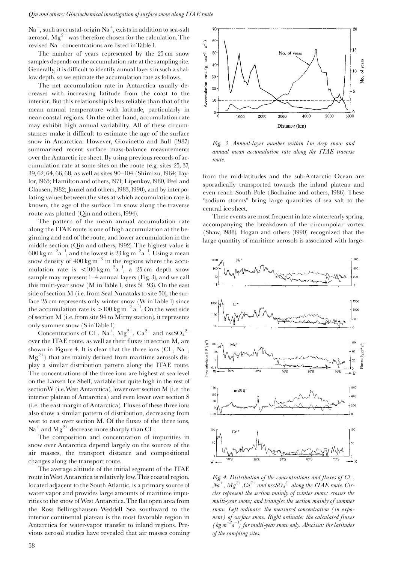$Na<sup>+</sup>$ , such as crustal-origin  $Na<sup>+</sup>$ , exists in addition to sea-salt aerosol.  $Mg^{2+}$  was therefore chosen for the calculation. The revised Na<sup>+</sup> concentrations are listed in Table 1.

The number of years represented by the 25 cm snow samples depends on the accumulation rate at the sampling site. Generally, it is difficult to identify annual layers in such a shallow depth, so we estimate the accumulation rate as follows.

The net accumulation rate in Antarctica usually decreases with increasing latitude from the coast to the interior. But this relationship is less reliable than that of the mean annual temperature with latitude, particularly in near-coastal regions. On the other hand, accumulation rate may exhibit high annual variability. All of these circumstances make it difficult to estimate the age of the surface snow in Antarctica. However, Giovinetto and Bull (1987) summarized recent surface mass-balance measurements over the Antarctic ice sheet. By using previous records of accumulation rate at some sites on the route (e.g. sites  $25, 37$ , 39, 62, 64, 66, 68, as well as sites 90–104 (Shimizu, 1964; Taylor, 1965; Hamilton and others, 1971; Lipenkov, 1980, Peel and Clausen, 1982; Jouzel and others, 1983, 1990), and by interpolating values between the sites at which accumulation rate is known, the age of the surface 1 m snow along the traverse route was plotted (Qin and others, 1994).

The pattern of the mean annual accumulation rate along the ITAE route is one of high accumulation at the beginning and end of the route, and lower accumulation in the middle section (Qin and others, 1992). The highest value is 600 kg m<sup>-2</sup>a<sup>-1</sup>, and the lowest is 23 kg m<sup>-2</sup>a<sup>-1</sup>. Using a mean snow density of  $400 \text{ kg m}^{-3}$  in the regions where the accumulation rate is  $\lt 100 \text{ kg m}^{-2} \text{a}^{-1}$ , a 25 cm depth snow sample may represent 1-4 annual layers (Fig. 3), and we call this multi-year snow (M in Table 1, sites  $51-93$ ). On the east side of section M (i.e. from Seal Nunataks to site 50), the surface 25 cm represents only winter snow (W in Table 1) since the accumulation rate is  $> 100 \text{ kg m}^{-2} \text{ a}^{-1}$ . On the west side of section M (i.e. from site 94 to Mirny station), it represents only summer snow (S in Table 1).

Concentrations of Cl<sup>-</sup>, Na<sup>+</sup>, Mg<sup>2+</sup>, Ca<sup>2+</sup> and nssSO<sub>4</sub><sup>2-</sup> over the ITAE route, as well as their fluxes in section M, are shown in Figure 4. It is clear that the three ions  $(Cl^-, Na^+,$  $Mg^{2+}$ ) that are mainly derived from maritime aerosols display a similar distribution pattern along the ITAE route. The concentrations of the three ions are highest at sea level on the Larsen Ice Shelf, variable but quite high in the rest of section W (i.e. West Antarctica), lower over section M (i.e. the interior plateau of Antarctica) and even lower over section S (i.e. the east margin of Antarctica). Fluxes of these three ions also show a similar pattern of distribution, decreasing from west to east over section M. Of the fluxes of the three ions,  $\mathrm{Na}^+$  and  $\mathrm{Mg}^{2+}$  decrease more sharply than Cl<sup>-</sup>.

The composition and concentration of impurities in snow over Antarctica depend largely on the sources of the air masses, the transport distance and compositional changes along the transport route.

The average altitude of the initial segment of the ITAE route in West Antarctica is relatively low. This coastal region, located adjacent to the South Atlantic, is a primary source of water vapor and provides large amounts of maritime impurities to the snow of West Antarctica. The flat open area from the Ross-Bellingshausen-Weddell Sea southward to the interior continental plateau is the most favorable region in Antarctica for water-vapor transfer to inland regions. Previous aerosol studies have revealed that air masses coming



Fig. 3. Annual-layer number within 1 m deep snow and annual mean accumulation rate along the ITAE traverse route.

from the mid-latitudes and the sub-Antarctic Ocean are sporadically transported towards the inland plateau and even reach South Pole (Bodhaine and others, 1986). These "sodium storms" bring large quantities of sea salt to the central ice sheet.

These events are most frequent in late winter/early spring, accompanying the breakdown of the circumpolar vortex (Shaw, 1988). Hogan and others (1990) recognized that the large quantity of maritime aerosols is associated with large-



Fig. 4. Distribution of the concentrations and fluxes of  $C\mathcal{T}$ ,  $Na^+$ ,  $Mg^{2+}$ ,  $Ca^{2+}$  and nss $SO_4^{2-}$  along the ITAE route. Circles represent the section mainly of winter snow; crosses the multi-year snow; and triangles the section mainly of summer snow. Left ordinate: the measured concentration (in exponent) of surface snow. Right ordinate: the calculated fluxes (kg  $m^{-2}a^{-1}$ ) for multi-year snow only. Abscissa: the latitudes of the sampling sites.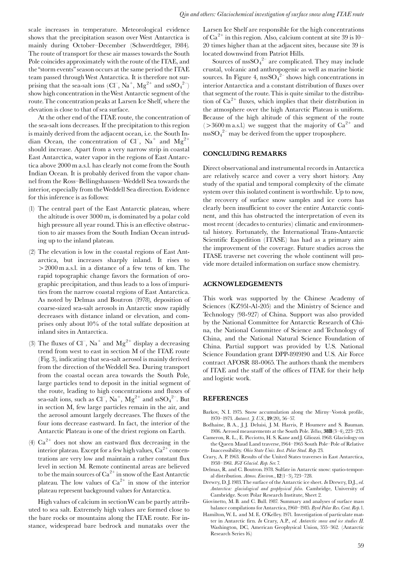scale increases in temperature. Meteorological evidence shows that the precipitation season over West Antarctica is mainly during October-December (Schwerdtfeger, 1984). The route of transport for these air masses towards the South Pole coincides approximately with the route of the ITAE, and the "storm events" season occurs at the same period the ITAE team passed through West Antarctica. It is therefore not surprising that the sea-salt ions (Cl<sup>-</sup>, Na<sup>+</sup>, Mg<sup>2+</sup> and ssSO<sub>4</sub><sup>2-</sup>) show high concentration in the West Antarctic segment of the route. The concentration peaks at Larsen Ice Shelf, where the elevation is close to that of sea surface.

At the other end of the ITAE route, the concentration of the sea-salt ions decreases. If the precipitation to this region is mainly derived from the adjacent ocean, i.e. the South Indian Ocean, the concentration of  $Cl<sup>-</sup>$ , Na<sup>+</sup> and Mg<sup>2+</sup> should increase. Apart from a very narrow strip in coastal East Antarctica, water vapor in the regions of East Antarctica above 2000 m a.s.l. has clearly not come from the South Indian Ocean. It is probably derived from the vapor channel from the Ross-Bellingshausen-Weddell Sea towards the interior, especially from the Weddell Sea direction. Evidence for this inference is as follows:

- (1) The central part of the East Antarctic plateau, where the altitude is over 3000 m, is dominated by a polar cold high pressure all year round. This is an effective obstruction to air masses from the South Indian Ocean intruding up to the inland plateau.
- (2) The elevation is low in the coastal regions of East Antarctica, but increases sharply inland. It rises to > 2000 m a.s.l. in a distance of a few tens of km. The rapid topographic change favors the formation of orographic precipitation, and thus leads to a loss of impurities from the narrow coastal regions of East Antarctica. As noted by Delmas and Boutron (1978), deposition of coarse-sized sea-salt aerosols in Antarctic snow rapidly decreases with distance inland or elevation, and comprises only about  $10\%$  of the total sulfate deposition at inland sites in Antarctica.
- (3) The fluxes of Cl<sup>-</sup>, Na<sup>+</sup> and Mg<sup>2+</sup> display a decreasing trend from west to east in section M of the ITAE route (Fig. 3), indicating that sea-salt aerosol is mainly derived from the direction of the Weddell Sea. During transport from the coastal ocean area towards the South Pole, large particles tend to deposit in the initial segment of the route, leading to high concentrations and fluxes of sea-salt ions, such as  $Cl^-, Na^+, Mg^{2+}$  and ss $SO_4^{2-}$ . But in section M, few large particles remain in the air, and the aerosol amount largely decreases. The fluxes of the four ions decrease eastward. In fact, the interior of the Antarctic Plateau is one of the driest regions on Earth.
- (4)  $Ca^{2+}$  does not show an eastward flux decreasing in the interior plateau. Except for a few high values,  $Ca^{2+}$  concentrations are very low and maintain a rather constant flux level in section M. Remote continental areas are believed to be the main sources of  $Ca^{2+}$  in snow of the East Antarctic<br>plateau. The low values of  $Ca^{2+}$  in snow of the interior plateau represent background values for Antarctica.

High values of calcium in section W can be partly attributed to sea salt. Extremely high values are formed close to the bare rocks or mountains along the ITAE route. For instance, widespread bare bedrock and nunataks over the

Larsen Ice Shelf are responsible for the high concentrations of  $Ca^{2+}$  in this region. Also, calcium content at site 39 is 10-20 times higher than at the adjacent sites, because site 39 is located downwind from Patriot Hills.

Sources of  $\text{nssSO}_4^2$  are complicated. They may include crustal, volcanic and anthropogenic as well as marine biotic sources. In Figure 4,  $nssSO<sub>4</sub><sup>2-</sup> shows high concentrations in$ interior Antarctica and a constant distribution of fluxes over that segment of the route. This is quite similar to the distribution of  $Ca^{2+}$  fluxes, which implies that their distribution in the atmosphere over the high Antarctic Plateau is uniform. Because of the high altitude of this segment of the route (>3600 m a.s.l.) we suggest that the majority of  $Ca^{2+}$  and  $n_{\rm{D}}$   $\rm{SSO_4}^{2-}$  may be derived from the upper troposphere.

### **CONCLUDING REMARKS**

Direct observational and instrumental records in Antarctica are relatively scarce and cover a very short history. Any study of the spatial and temporal complexity of the climate system over this isolated continent is worthwhile. Up to now, the recovery of surface snow samples and ice cores has clearly been insufficient to cover the entire Antarctic continent, and this has obstructed the interpretation of even its most recent (decades to centuries) climatic and environmental history. Fortunately, the International Trans-Antarctic Scientific Expedition (ITASE) has had as a primary aim the improvement of the coverage. Future studies across the ITASE traverse net covering the whole continent will provide more detailed information on surface snow chemistry.

#### **ACKNOWLEDGEMENTS**

This work was supported by the Chinese Academy of Sciences (KZ951-A1-205) and the Ministry of Science and Technology (98-927) of China. Support was also provided by the National Committee for Antarctic Research of China, the National Committee of Science and Technology of China, and the National Natural Science Foundation of China. Partial support was provided by U.S. National Science Foundation grant DPP-8919190 and U.S. Air Force contract AFOSR 88-0065. The authors thank the members of ITAE and the staff of the offices of ITAE for their help and logistic work.

## **REFERENCES**

- Barkov, N. I. 1975. Snow accumulation along the Mirny-Vostok profile, 1970-1973. Antarct. J. U.S., 19(20), 56-57.
- Bodhaine, B.A., J.J. Deluisi, J.M. Harris, P. Houmere and S. Bauman. 1986. Aerosol measurements at the South Pole. Tellus, 38B(3-4), 223-235.
- Cameron, R. L., E. Picciotto, H. S. Kane and J. Gliozzi. 1968. Glaciology on the Queen Maud Land traverse, 1964–1965 South Pole–Pole of Relative Inaccessibility. Ohio State Univ. Inst. Polar Stud. Rep. 23.
- Crary, A. P. 1963. Results of the United States traverses in East Antarctica, 1958-1961. IGY Glaciol. Rep. Ser. 7.
- Delmas, R. and C. Boutron. 1978. Sulfate in Antarctic snow: spatio-temporal distribution. Atmos. Environ.,  $12(1-3)$ , 723-728.
- Drewry, D. J. 1983. The surface of the Antarctic ice sheet. In Drewry, D.J., ed. Antarctica: glaciological and geophysical folio. Cambridge, University of Cambridge. Scott Polar Research Institute, Sheet 2.
- Giovinetto, M.B. and C. Bull. 1987. Summary and analyses of surface mass balance compilations for Antarctica, 1960-1985. Byrd Polar Res. Cent. Rep. 1.
- Hamilton, W. L. and M. E. O'Kelley. 1971. Investigation of particulate matter in Antarctic firn. In Crary, A.P., ed. Antarctic snow and ice studies II. Washington, DC, American Geophysical Union, 355-362. (Antarctic Research Series 16.)